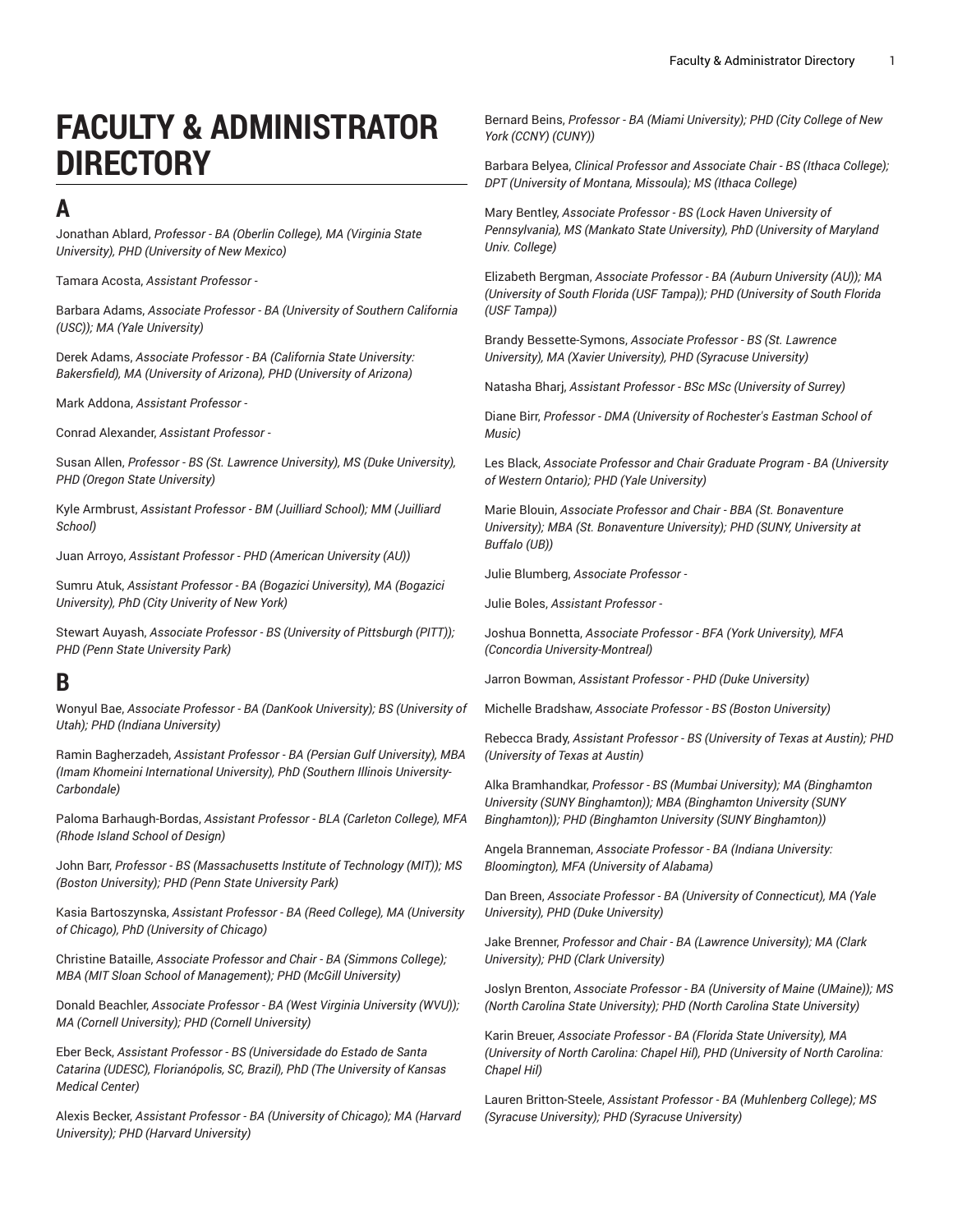# **FACULTY & ADMINISTRATOR DIRECTORY**

## **A**

Jonathan Ablard, *Professor - BA (Oberlin College), MA (Virginia State University), PHD (University of New Mexico)*

Tamara Acosta, *Assistant Professor -*

Barbara Adams, *Associate Professor - BA (University of Southern California (USC)); MA (Yale University)*

Derek Adams, *Associate Professor - BA (California State University: Bakersfield), MA (University of Arizona), PHD (University of Arizona)*

Mark Addona, *Assistant Professor -*

Conrad Alexander, *Assistant Professor -*

Susan Allen, *Professor - BS (St. Lawrence University), MS (Duke University), PHD (Oregon State University)*

Kyle Armbrust, *Assistant Professor - BM (Juilliard School); MM (Juilliard School)*

Juan Arroyo, *Assistant Professor - PHD (American University (AU))*

Sumru Atuk, *Assistant Professor - BA (Bogazici University), MA (Bogazici University), PhD (City Univerity of New York)*

Stewart Auyash, *Associate Professor - BS (University of Pittsburgh (PITT)); PHD (Penn State University Park)*

## **B**

Wonyul Bae, *Associate Professor - BA (DanKook University); BS (University of Utah); PHD (Indiana University)*

Ramin Bagherzadeh, *Assistant Professor - BA (Persian Gulf University), MBA (Imam Khomeini International University), PhD (Southern Illinois University-Carbondale)*

Paloma Barhaugh-Bordas, *Assistant Professor - BLA (Carleton College), MFA (Rhode Island School of Design)*

John Barr, *Professor - BS (Massachusetts Institute of Technology (MIT)); MS (Boston University); PHD (Penn State University Park)*

Kasia Bartoszynska, *Assistant Professor - BA (Reed College), MA (University of Chicago), PhD (University of Chicago)*

Christine Bataille, *Associate Professor and Chair - BA (Simmons College); MBA (MIT Sloan School of Management); PHD (McGill University)*

Donald Beachler, *Associate Professor - BA (West Virginia University (WVU)); MA (Cornell University); PHD (Cornell University)*

Eber Beck, *Assistant Professor - BS (Universidade do Estado de Santa Catarina (UDESC), Florianópolis, SC, Brazil), PhD (The University of Kansas Medical Center)*

Alexis Becker, *Assistant Professor - BA (University of Chicago); MA (Harvard University); PHD (Harvard University)*

Bernard Beins, *Professor - BA (Miami University); PHD (City College of New York (CCNY) (CUNY))*

Barbara Belyea, *Clinical Professor and Associate Chair - BS (Ithaca College); DPT (University of Montana, Missoula); MS (Ithaca College)*

Mary Bentley, *Associate Professor - BS (Lock Haven University of Pennsylvania), MS (Mankato State University), PhD (University of Maryland Univ. College)*

Elizabeth Bergman, *Associate Professor - BA (Auburn University (AU)); MA (University of South Florida (USF Tampa)); PHD (University of South Florida (USF Tampa))*

Brandy Bessette-Symons, *Associate Professor - BS (St. Lawrence University), MA (Xavier University), PHD (Syracuse University)*

Natasha Bharj, *Assistant Professor - BSc MSc (University of Surrey)*

Diane Birr, *Professor - DMA (University of Rochester's Eastman School of Music)*

Les Black, *Associate Professor and Chair Graduate Program - BA (University of Western Ontario); PHD (Yale University)*

Marie Blouin, *Associate Professor and Chair - BBA (St. Bonaventure University); MBA (St. Bonaventure University); PHD (SUNY, University at Buffalo (UB))*

Julie Blumberg, *Associate Professor -*

Julie Boles, *Assistant Professor -*

Joshua Bonnetta, *Associate Professor - BFA (York University), MFA (Concordia University-Montreal)*

Jarron Bowman, *Assistant Professor - PHD (Duke University)*

Michelle Bradshaw, *Associate Professor - BS (Boston University)*

Rebecca Brady, *Assistant Professor - BS (University of Texas at Austin); PHD (University of Texas at Austin)*

Alka Bramhandkar, *Professor - BS (Mumbai University); MA (Binghamton University (SUNY Binghamton)); MBA (Binghamton University (SUNY Binghamton)); PHD (Binghamton University (SUNY Binghamton))*

Angela Branneman, *Associate Professor - BA (Indiana University: Bloomington), MFA (University of Alabama)*

Dan Breen, *Associate Professor - BA (University of Connecticut), MA (Yale University), PHD (Duke University)*

Jake Brenner, *Professor and Chair - BA (Lawrence University); MA (Clark University); PHD (Clark University)*

Joslyn Brenton, *Associate Professor - BA (University of Maine (UMaine)); MS (North Carolina State University); PHD (North Carolina State University)*

Karin Breuer, *Associate Professor - BA (Florida State University), MA (University of North Carolina: Chapel Hil), PHD (University of North Carolina: Chapel Hil)*

Lauren Britton-Steele, *Assistant Professor - BA (Muhlenberg College); MS (Syracuse University); PHD (Syracuse University)*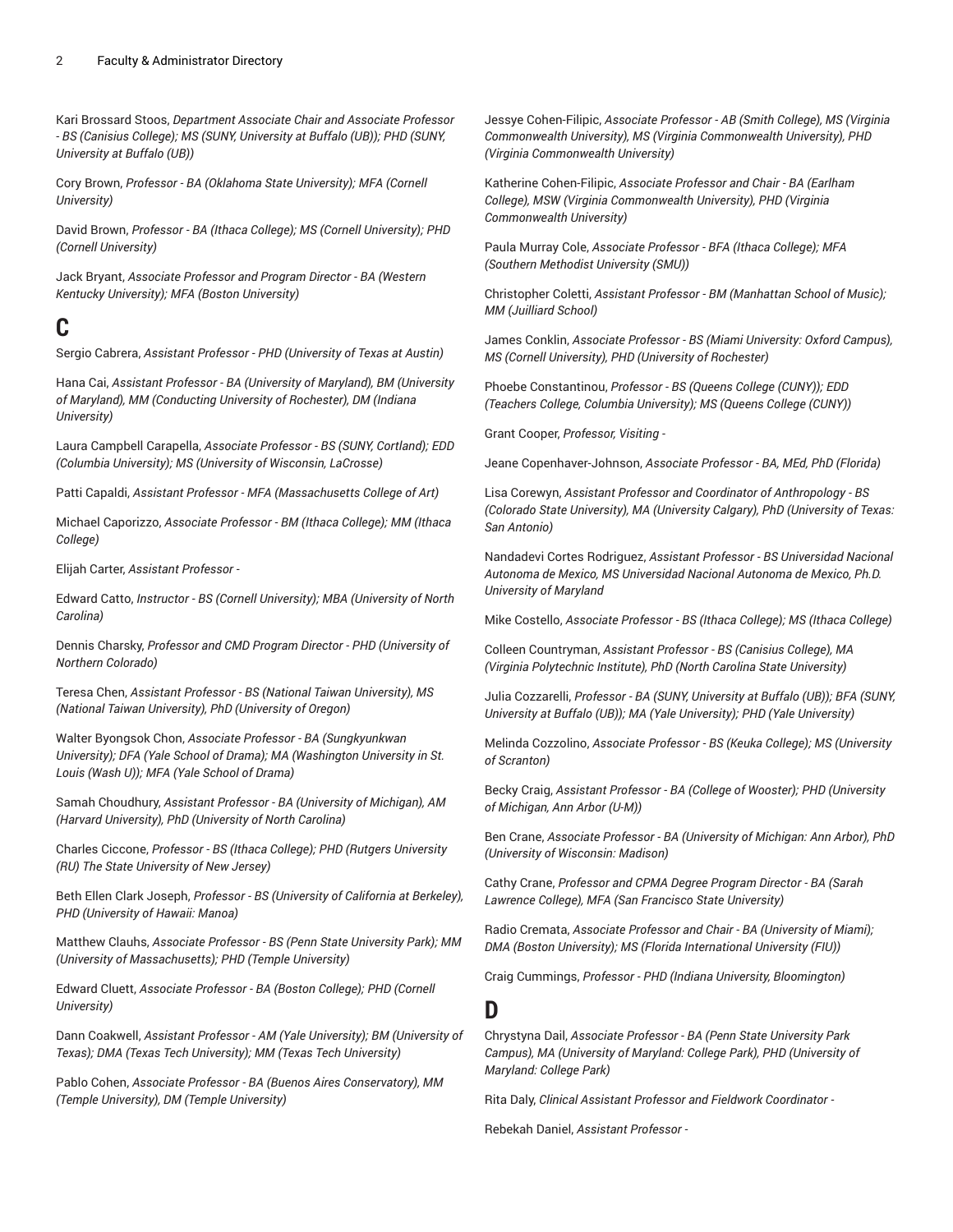Kari Brossard Stoos, *Department Associate Chair and Associate Professor - BS (Canisius College); MS (SUNY, University at Buffalo (UB)); PHD (SUNY, University at Buffalo (UB))*

Cory Brown, *Professor - BA (Oklahoma State University); MFA (Cornell University)*

David Brown, *Professor - BA (Ithaca College); MS (Cornell University); PHD (Cornell University)*

Jack Bryant, *Associate Professor and Program Director - BA (Western Kentucky University); MFA (Boston University)*

## **C**

Sergio Cabrera, *Assistant Professor - PHD (University of Texas at Austin)*

Hana Cai, *Assistant Professor - BA (University of Maryland), BM (University of Maryland), MM (Conducting University of Rochester), DM (Indiana University)*

Laura Campbell Carapella, *Associate Professor - BS (SUNY, Cortland); EDD (Columbia University); MS (University of Wisconsin, LaCrosse)*

Patti Capaldi, *Assistant Professor - MFA (Massachusetts College of Art)*

Michael Caporizzo, *Associate Professor - BM (Ithaca College); MM (Ithaca College)*

Elijah Carter, *Assistant Professor -*

Edward Catto, *Instructor - BS (Cornell University); MBA (University of North Carolina)*

Dennis Charsky, *Professor and CMD Program Director - PHD (University of Northern Colorado)*

Teresa Chen, *Assistant Professor - BS (National Taiwan University), MS (National Taiwan University), PhD (University of Oregon)*

Walter Byongsok Chon, *Associate Professor - BA (Sungkyunkwan University); DFA (Yale School of Drama); MA (Washington University in St. Louis (Wash U)); MFA (Yale School of Drama)*

Samah Choudhury, *Assistant Professor - BA (University of Michigan), AM (Harvard University), PhD (University of North Carolina)*

Charles Ciccone, *Professor - BS (Ithaca College); PHD (Rutgers University (RU) The State University of New Jersey)*

Beth Ellen Clark Joseph, *Professor - BS (University of California at Berkeley), PHD (University of Hawaii: Manoa)*

Matthew Clauhs, *Associate Professor - BS (Penn State University Park); MM (University of Massachusetts); PHD (Temple University)*

Edward Cluett, *Associate Professor - BA (Boston College); PHD (Cornell University)*

Dann Coakwell, *Assistant Professor - AM (Yale University); BM (University of Texas); DMA (Texas Tech University); MM (Texas Tech University)*

Pablo Cohen, *Associate Professor - BA (Buenos Aires Conservatory), MM (Temple University), DM (Temple University)*

Jessye Cohen-Filipic, *Associate Professor - AB (Smith College), MS (Virginia Commonwealth University), MS (Virginia Commonwealth University), PHD (Virginia Commonwealth University)*

Katherine Cohen-Filipic, *Associate Professor and Chair - BA (Earlham College), MSW (Virginia Commonwealth University), PHD (Virginia Commonwealth University)*

Paula Murray Cole, *Associate Professor - BFA (Ithaca College); MFA (Southern Methodist University (SMU))*

Christopher Coletti, *Assistant Professor - BM (Manhattan School of Music); MM (Juilliard School)*

James Conklin, *Associate Professor - BS (Miami University: Oxford Campus), MS (Cornell University), PHD (University of Rochester)*

Phoebe Constantinou, *Professor - BS (Queens College (CUNY)); EDD (Teachers College, Columbia University); MS (Queens College (CUNY))*

Grant Cooper, *Professor, Visiting -*

Jeane Copenhaver-Johnson, *Associate Professor - BA, MEd, PhD (Florida)*

Lisa Corewyn, *Assistant Professor and Coordinator of Anthropology - BS (Colorado State University), MA (University Calgary), PhD (University of Texas: San Antonio)*

Nandadevi Cortes Rodriguez, *Assistant Professor - BS Universidad Nacional Autonoma de Mexico, MS Universidad Nacional Autonoma de Mexico, Ph.D. University of Maryland*

Mike Costello, *Associate Professor - BS (Ithaca College); MS (Ithaca College)*

Colleen Countryman, *Assistant Professor - BS (Canisius College), MA (Virginia Polytechnic Institute), PhD (North Carolina State University)*

Julia Cozzarelli, *Professor - BA (SUNY, University at Buffalo (UB)); BFA (SUNY, University at Buffalo (UB)); MA (Yale University); PHD (Yale University)*

Melinda Cozzolino, *Associate Professor - BS (Keuka College); MS (University of Scranton)*

Becky Craig, *Assistant Professor - BA (College of Wooster); PHD (University of Michigan, Ann Arbor (U-M))*

Ben Crane, *Associate Professor - BA (University of Michigan: Ann Arbor), PhD (University of Wisconsin: Madison)*

Cathy Crane, *Professor and CPMA Degree Program Director - BA (Sarah Lawrence College), MFA (San Francisco State University)*

Radio Cremata, *Associate Professor and Chair - BA (University of Miami); DMA (Boston University); MS (Florida International University (FIU))*

Craig Cummings, *Professor - PHD (Indiana University, Bloomington)*

**D**

Chrystyna Dail, *Associate Professor - BA (Penn State University Park Campus), MA (University of Maryland: College Park), PHD (University of Maryland: College Park)*

Rita Daly, *Clinical Assistant Professor and Fieldwork Coordinator -*

Rebekah Daniel, *Assistant Professor -*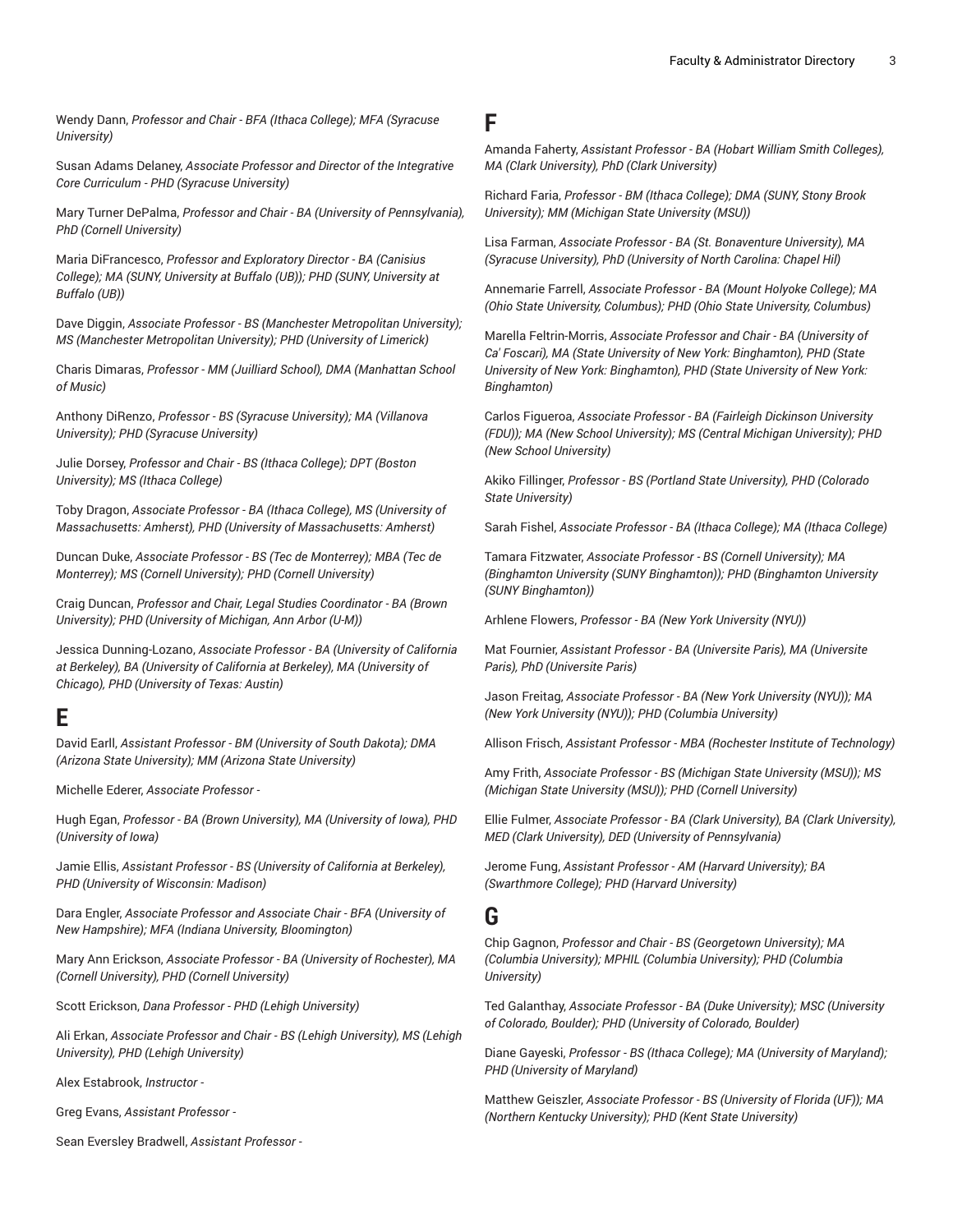Wendy Dann, *Professor and Chair - BFA (Ithaca College); MFA (Syracuse University)*

Susan Adams Delaney, *Associate Professor and Director of the Integrative Core Curriculum - PHD (Syracuse University)*

Mary Turner DePalma, *Professor and Chair - BA (University of Pennsylvania), PhD (Cornell University)*

Maria DiFrancesco, *Professor and Exploratory Director - BA (Canisius College); MA (SUNY, University at Buffalo (UB)); PHD (SUNY, University at Buffalo (UB))*

Dave Diggin, *Associate Professor - BS (Manchester Metropolitan University); MS (Manchester Metropolitan University); PHD (University of Limerick)*

Charis Dimaras, *Professor - MM (Juilliard School), DMA (Manhattan School of Music)*

Anthony DiRenzo, *Professor - BS (Syracuse University); MA (Villanova University); PHD (Syracuse University)*

Julie Dorsey, *Professor and Chair - BS (Ithaca College); DPT (Boston University); MS (Ithaca College)*

Toby Dragon, *Associate Professor - BA (Ithaca College), MS (University of Massachusetts: Amherst), PHD (University of Massachusetts: Amherst)*

Duncan Duke, *Associate Professor - BS (Tec de Monterrey); MBA (Tec de Monterrey); MS (Cornell University); PHD (Cornell University)*

Craig Duncan, *Professor and Chair, Legal Studies Coordinator - BA (Brown University); PHD (University of Michigan, Ann Arbor (U-M))*

Jessica Dunning-Lozano, *Associate Professor - BA (University of California at Berkeley), BA (University of California at Berkeley), MA (University of Chicago), PHD (University of Texas: Austin)*

### **E**

David Earll, *Assistant Professor - BM (University of South Dakota); DMA (Arizona State University); MM (Arizona State University)*

Michelle Ederer, *Associate Professor -*

Hugh Egan, *Professor - BA (Brown University), MA (University of Iowa), PHD (University of Iowa)*

Jamie Ellis, *Assistant Professor - BS (University of California at Berkeley), PHD (University of Wisconsin: Madison)*

Dara Engler, *Associate Professor and Associate Chair - BFA (University of New Hampshire); MFA (Indiana University, Bloomington)*

Mary Ann Erickson, *Associate Professor - BA (University of Rochester), MA (Cornell University), PHD (Cornell University)*

Scott Erickson, *Dana Professor - PHD (Lehigh University)*

Ali Erkan, *Associate Professor and Chair - BS (Lehigh University), MS (Lehigh University), PHD (Lehigh University)*

Alex Estabrook, *Instructor -*

Greg Evans, *Assistant Professor -*

Sean Eversley Bradwell, *Assistant Professor -*

#### **F**

Amanda Faherty, *Assistant Professor - BA (Hobart William Smith Colleges), MA (Clark University), PhD (Clark University)*

Richard Faria, *Professor - BM (Ithaca College); DMA (SUNY, Stony Brook University); MM (Michigan State University (MSU))*

Lisa Farman, *Associate Professor - BA (St. Bonaventure University), MA (Syracuse University), PhD (University of North Carolina: Chapel Hil)*

Annemarie Farrell, *Associate Professor - BA (Mount Holyoke College); MA (Ohio State University, Columbus); PHD (Ohio State University, Columbus)*

Marella Feltrin-Morris, *Associate Professor and Chair - BA (University of Ca' Foscari), MA (State University of New York: Binghamton), PHD (State University of New York: Binghamton), PHD (State University of New York: Binghamton)*

Carlos Figueroa, *Associate Professor - BA (Fairleigh Dickinson University (FDU)); MA (New School University); MS (Central Michigan University); PHD (New School University)*

Akiko Fillinger, *Professor - BS (Portland State University), PHD (Colorado State University)*

Sarah Fishel, *Associate Professor - BA (Ithaca College); MA (Ithaca College)*

Tamara Fitzwater, *Associate Professor - BS (Cornell University); MA (Binghamton University (SUNY Binghamton)); PHD (Binghamton University (SUNY Binghamton))*

Arhlene Flowers, *Professor - BA (New York University (NYU))*

Mat Fournier, *Assistant Professor - BA (Universite Paris), MA (Universite Paris), PhD (Universite Paris)*

Jason Freitag, *Associate Professor - BA (New York University (NYU)); MA (New York University (NYU)); PHD (Columbia University)*

Allison Frisch, *Assistant Professor - MBA (Rochester Institute of Technology)*

Amy Frith, *Associate Professor - BS (Michigan State University (MSU)); MS (Michigan State University (MSU)); PHD (Cornell University)*

Ellie Fulmer, *Associate Professor - BA (Clark University), BA (Clark University), MED (Clark University), DED (University of Pennsylvania)*

Jerome Fung, *Assistant Professor - AM (Harvard University); BA (Swarthmore College); PHD (Harvard University)*

#### **G**

Chip Gagnon, *Professor and Chair - BS (Georgetown University); MA (Columbia University); MPHIL (Columbia University); PHD (Columbia University)*

Ted Galanthay, *Associate Professor - BA (Duke University); MSC (University of Colorado, Boulder); PHD (University of Colorado, Boulder)*

Diane Gayeski, *Professor - BS (Ithaca College); MA (University of Maryland); PHD (University of Maryland)*

Matthew Geiszler, *Associate Professor - BS (University of Florida (UF)); MA (Northern Kentucky University); PHD (Kent State University)*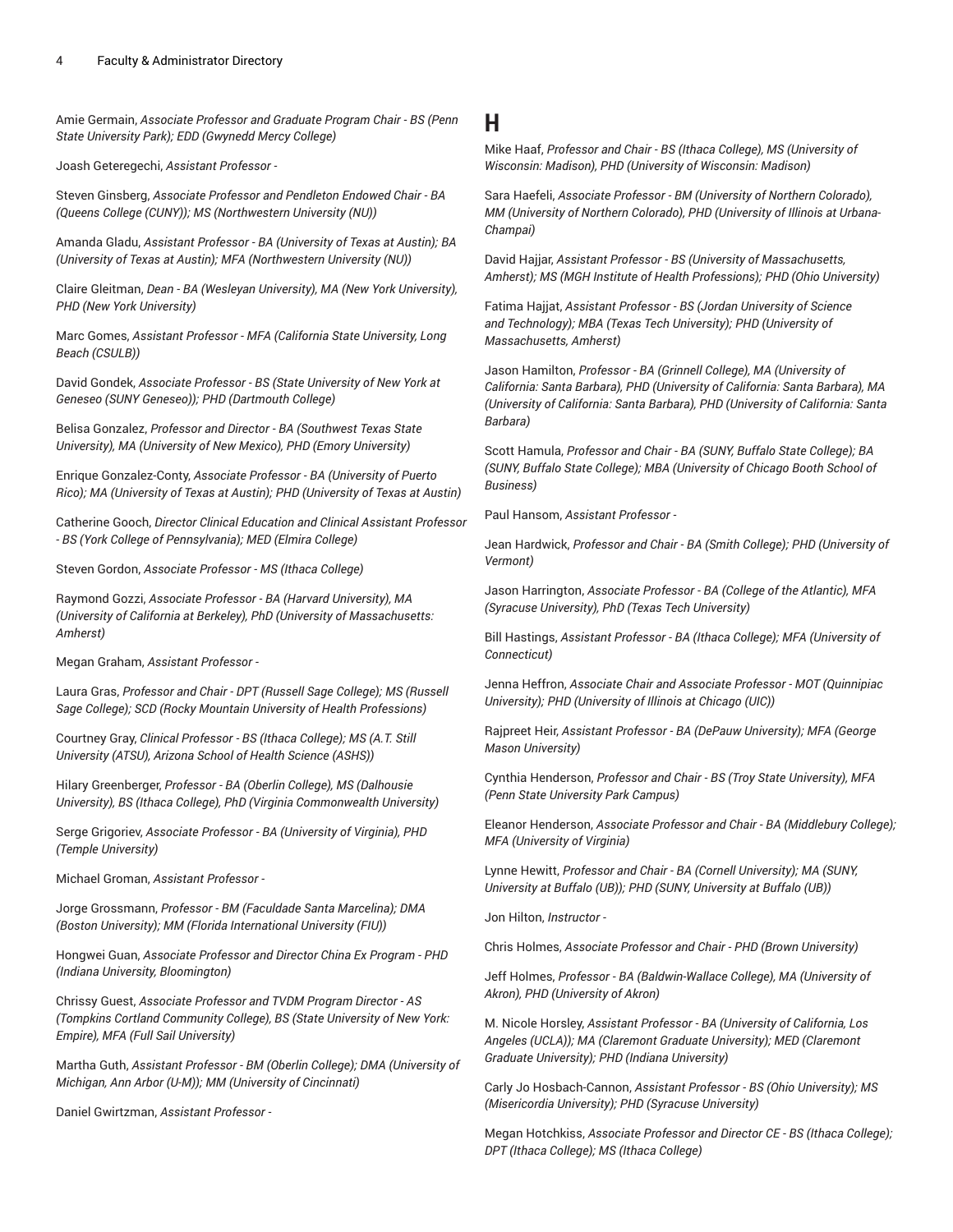Amie Germain, *Associate Professor and Graduate Program Chair - BS (Penn State University Park); EDD (Gwynedd Mercy College)*

Joash Geteregechi, *Assistant Professor -*

Steven Ginsberg, *Associate Professor and Pendleton Endowed Chair - BA (Queens College (CUNY)); MS (Northwestern University (NU))*

Amanda Gladu, *Assistant Professor - BA (University of Texas at Austin); BA (University of Texas at Austin); MFA (Northwestern University (NU))*

Claire Gleitman, *Dean - BA (Wesleyan University), MA (New York University), PHD (New York University)*

Marc Gomes, *Assistant Professor - MFA (California State University, Long Beach (CSULB))*

David Gondek, *Associate Professor - BS (State University of New York at Geneseo (SUNY Geneseo)); PHD (Dartmouth College)*

Belisa Gonzalez, *Professor and Director - BA (Southwest Texas State University), MA (University of New Mexico), PHD (Emory University)*

Enrique Gonzalez-Conty, *Associate Professor - BA (University of Puerto Rico); MA (University of Texas at Austin); PHD (University of Texas at Austin)*

Catherine Gooch, *Director Clinical Education and Clinical Assistant Professor - BS (York College of Pennsylvania); MED (Elmira College)*

Steven Gordon, *Associate Professor - MS (Ithaca College)*

Raymond Gozzi, *Associate Professor - BA (Harvard University), MA (University of California at Berkeley), PhD (University of Massachusetts: Amherst)*

Megan Graham, *Assistant Professor -*

Laura Gras, *Professor and Chair - DPT (Russell Sage College); MS (Russell Sage College); SCD (Rocky Mountain University of Health Professions)*

Courtney Gray, *Clinical Professor - BS (Ithaca College); MS (A.T. Still University (ATSU), Arizona School of Health Science (ASHS))*

Hilary Greenberger, *Professor - BA (Oberlin College), MS (Dalhousie University), BS (Ithaca College), PhD (Virginia Commonwealth University)*

Serge Grigoriev, *Associate Professor - BA (University of Virginia), PHD (Temple University)*

Michael Groman, *Assistant Professor -*

Jorge Grossmann, *Professor - BM (Faculdade Santa Marcelina); DMA (Boston University); MM (Florida International University (FIU))*

Hongwei Guan, *Associate Professor and Director China Ex Program - PHD (Indiana University, Bloomington)*

Chrissy Guest, *Associate Professor and TVDM Program Director - AS (Tompkins Cortland Community College), BS (State University of New York: Empire), MFA (Full Sail University)*

Martha Guth, *Assistant Professor - BM (Oberlin College); DMA (University of Michigan, Ann Arbor (U-M)); MM (University of Cincinnati)*

Daniel Gwirtzman, *Assistant Professor -*

#### **H**

Mike Haaf, *Professor and Chair - BS (Ithaca College), MS (University of Wisconsin: Madison), PHD (University of Wisconsin: Madison)*

Sara Haefeli, *Associate Professor - BM (University of Northern Colorado), MM (University of Northern Colorado), PHD (University of Illinois at Urbana-Champai)*

David Hajjar, *Assistant Professor - BS (University of Massachusetts, Amherst); MS (MGH Institute of Health Professions); PHD (Ohio University)*

Fatima Hajjat, *Assistant Professor - BS (Jordan University of Science and Technology); MBA (Texas Tech University); PHD (University of Massachusetts, Amherst)*

Jason Hamilton, *Professor - BA (Grinnell College), MA (University of California: Santa Barbara), PHD (University of California: Santa Barbara), MA (University of California: Santa Barbara), PHD (University of California: Santa Barbara)*

Scott Hamula, *Professor and Chair - BA (SUNY, Buffalo State College); BA (SUNY, Buffalo State College); MBA (University of Chicago Booth School of Business)*

Paul Hansom, *Assistant Professor -*

Jean Hardwick, *Professor and Chair - BA (Smith College); PHD (University of Vermont)*

Jason Harrington, *Associate Professor - BA (College of the Atlantic), MFA (Syracuse University), PhD (Texas Tech University)*

Bill Hastings, *Assistant Professor - BA (Ithaca College); MFA (University of Connecticut)*

Jenna Heffron, *Associate Chair and Associate Professor - MOT (Quinnipiac University); PHD (University of Illinois at Chicago (UIC))*

Rajpreet Heir, *Assistant Professor - BA (DePauw University); MFA (George Mason University)*

Cynthia Henderson, *Professor and Chair - BS (Troy State University), MFA (Penn State University Park Campus)*

Eleanor Henderson, *Associate Professor and Chair - BA (Middlebury College); MFA (University of Virginia)*

Lynne Hewitt, *Professor and Chair - BA (Cornell University); MA (SUNY, University at Buffalo (UB)); PHD (SUNY, University at Buffalo (UB))*

Jon Hilton, *Instructor -*

Chris Holmes, *Associate Professor and Chair - PHD (Brown University)*

Jeff Holmes, *Professor - BA (Baldwin-Wallace College), MA (University of Akron), PHD (University of Akron)*

M. Nicole Horsley, *Assistant Professor - BA (University of California, Los Angeles (UCLA)); MA (Claremont Graduate University); MED (Claremont Graduate University); PHD (Indiana University)*

Carly Jo Hosbach-Cannon, *Assistant Professor - BS (Ohio University); MS (Misericordia University); PHD (Syracuse University)*

Megan Hotchkiss, *Associate Professor and Director CE - BS (Ithaca College); DPT (Ithaca College); MS (Ithaca College)*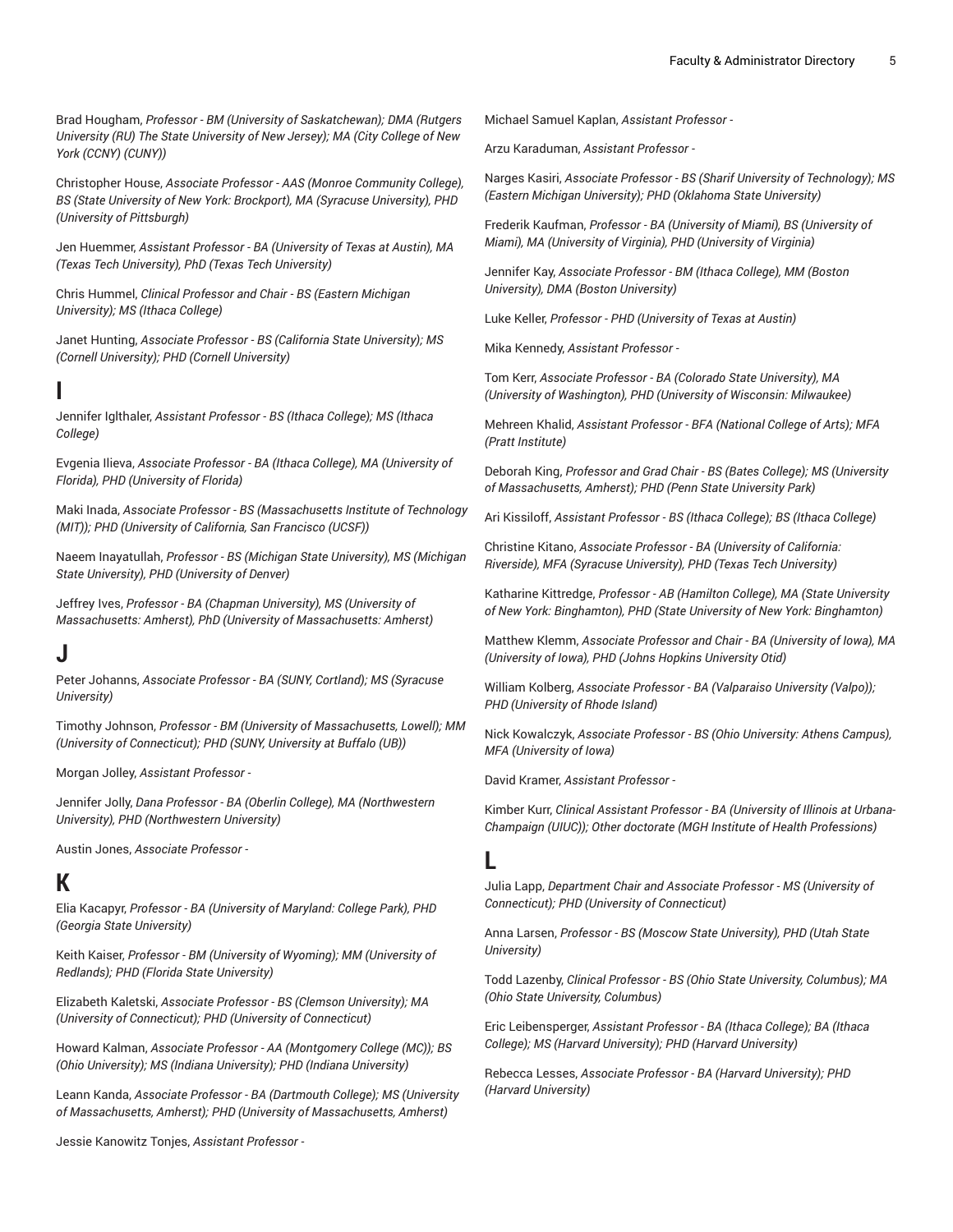Brad Hougham, *Professor - BM (University of Saskatchewan); DMA (Rutgers University (RU) The State University of New Jersey); MA (City College of New York (CCNY) (CUNY))*

Christopher House, *Associate Professor - AAS (Monroe Community College), BS (State University of New York: Brockport), MA (Syracuse University), PHD (University of Pittsburgh)*

Jen Huemmer, *Assistant Professor - BA (University of Texas at Austin), MA (Texas Tech University), PhD (Texas Tech University)*

Chris Hummel, *Clinical Professor and Chair - BS (Eastern Michigan University); MS (Ithaca College)*

Janet Hunting, *Associate Professor - BS (California State University); MS (Cornell University); PHD (Cornell University)*

### **I**

Jennifer Iglthaler, *Assistant Professor - BS (Ithaca College); MS (Ithaca College)*

Evgenia Ilieva, *Associate Professor - BA (Ithaca College), MA (University of Florida), PHD (University of Florida)*

Maki Inada, *Associate Professor - BS (Massachusetts Institute of Technology (MIT)); PHD (University of California, San Francisco (UCSF))*

Naeem Inayatullah, *Professor - BS (Michigan State University), MS (Michigan State University), PHD (University of Denver)*

Jeffrey Ives, *Professor - BA (Chapman University), MS (University of Massachusetts: Amherst), PhD (University of Massachusetts: Amherst)*

### **J**

Peter Johanns, *Associate Professor - BA (SUNY, Cortland); MS (Syracuse University)*

Timothy Johnson, *Professor - BM (University of Massachusetts, Lowell); MM (University of Connecticut); PHD (SUNY, University at Buffalo (UB))*

Morgan Jolley, *Assistant Professor -*

Jennifer Jolly, *Dana Professor - BA (Oberlin College), MA (Northwestern University), PHD (Northwestern University)*

Austin Jones, *Associate Professor -*

## **K**

Elia Kacapyr, *Professor - BA (University of Maryland: College Park), PHD (Georgia State University)*

Keith Kaiser, *Professor - BM (University of Wyoming); MM (University of Redlands); PHD (Florida State University)*

Elizabeth Kaletski, *Associate Professor - BS (Clemson University); MA (University of Connecticut); PHD (University of Connecticut)*

Howard Kalman, *Associate Professor - AA (Montgomery College (MC)); BS (Ohio University); MS (Indiana University); PHD (Indiana University)*

Leann Kanda, *Associate Professor - BA (Dartmouth College); MS (University of Massachusetts, Amherst); PHD (University of Massachusetts, Amherst)*

Michael Samuel Kaplan, *Assistant Professor -*

Arzu Karaduman, *Assistant Professor -*

Narges Kasiri, *Associate Professor - BS (Sharif University of Technology); MS (Eastern Michigan University); PHD (Oklahoma State University)*

Frederik Kaufman, *Professor - BA (University of Miami), BS (University of Miami), MA (University of Virginia), PHD (University of Virginia)*

Jennifer Kay, *Associate Professor - BM (Ithaca College), MM (Boston University), DMA (Boston University)*

Luke Keller, *Professor - PHD (University of Texas at Austin)*

Mika Kennedy, *Assistant Professor -*

Tom Kerr, *Associate Professor - BA (Colorado State University), MA (University of Washington), PHD (University of Wisconsin: Milwaukee)*

Mehreen Khalid, *Assistant Professor - BFA (National College of Arts); MFA (Pratt Institute)*

Deborah King, *Professor and Grad Chair - BS (Bates College); MS (University of Massachusetts, Amherst); PHD (Penn State University Park)*

Ari Kissiloff, *Assistant Professor - BS (Ithaca College); BS (Ithaca College)*

Christine Kitano, *Associate Professor - BA (University of California: Riverside), MFA (Syracuse University), PHD (Texas Tech University)*

Katharine Kittredge, *Professor - AB (Hamilton College), MA (State University of New York: Binghamton), PHD (State University of New York: Binghamton)*

Matthew Klemm, *Associate Professor and Chair - BA (University of Iowa), MA (University of Iowa), PHD (Johns Hopkins University Otid)*

William Kolberg, *Associate Professor - BA (Valparaiso University (Valpo)); PHD (University of Rhode Island)*

Nick Kowalczyk, *Associate Professor - BS (Ohio University: Athens Campus), MFA (University of Iowa)*

David Kramer, *Assistant Professor -*

Kimber Kurr, *Clinical Assistant Professor - BA (University of Illinois at Urbana-Champaign (UIUC)); Other doctorate (MGH Institute of Health Professions)*

#### **L**

Julia Lapp, *Department Chair and Associate Professor - MS (University of Connecticut); PHD (University of Connecticut)*

Anna Larsen, *Professor - BS (Moscow State University), PHD (Utah State University)*

Todd Lazenby, *Clinical Professor - BS (Ohio State University, Columbus); MA (Ohio State University, Columbus)*

Eric Leibensperger, *Assistant Professor - BA (Ithaca College); BA (Ithaca College); MS (Harvard University); PHD (Harvard University)*

Rebecca Lesses, *Associate Professor - BA (Harvard University); PHD (Harvard University)*

Jessie Kanowitz Tonjes, *Assistant Professor -*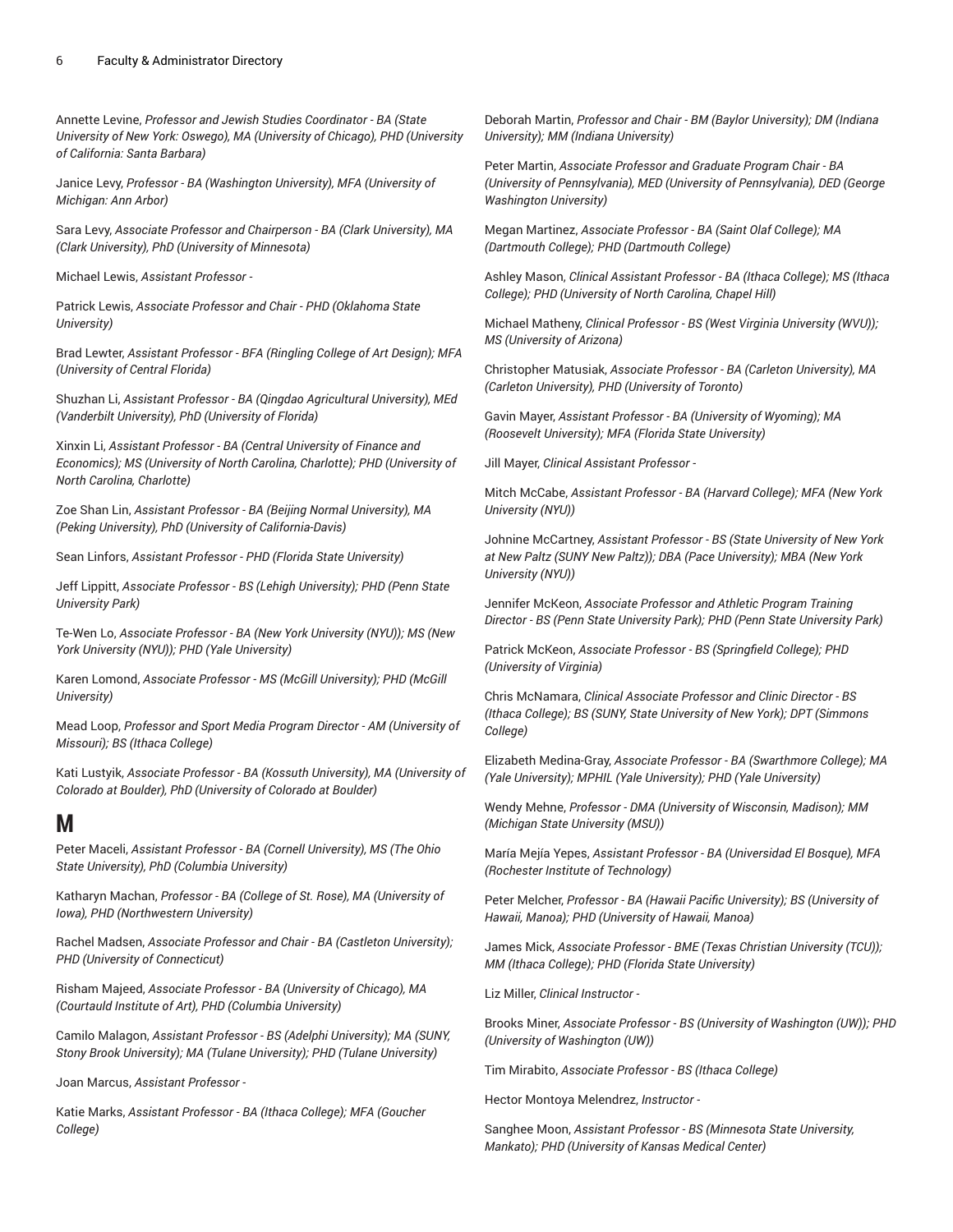Annette Levine, *Professor and Jewish Studies Coordinator - BA (State University of New York: Oswego), MA (University of Chicago), PHD (University of California: Santa Barbara)*

Janice Levy, *Professor - BA (Washington University), MFA (University of Michigan: Ann Arbor)*

Sara Levy, *Associate Professor and Chairperson - BA (Clark University), MA (Clark University), PhD (University of Minnesota)*

Michael Lewis, *Assistant Professor -*

Patrick Lewis, *Associate Professor and Chair - PHD (Oklahoma State University)*

Brad Lewter, *Assistant Professor - BFA (Ringling College of Art Design); MFA (University of Central Florida)*

Shuzhan Li, *Assistant Professor - BA (Qingdao Agricultural University), MEd (Vanderbilt University), PhD (University of Florida)*

Xinxin Li, *Assistant Professor - BA (Central University of Finance and Economics); MS (University of North Carolina, Charlotte); PHD (University of North Carolina, Charlotte)*

Zoe Shan Lin, *Assistant Professor - BA (Beijing Normal University), MA (Peking University), PhD (University of California-Davis)*

Sean Linfors, *Assistant Professor - PHD (Florida State University)*

Jeff Lippitt, *Associate Professor - BS (Lehigh University); PHD (Penn State University Park)*

Te-Wen Lo, *Associate Professor - BA (New York University (NYU)); MS (New York University (NYU)); PHD (Yale University)*

Karen Lomond, *Associate Professor - MS (McGill University); PHD (McGill University)*

Mead Loop, *Professor and Sport Media Program Director - AM (University of Missouri); BS (Ithaca College)*

Kati Lustyik, *Associate Professor - BA (Kossuth University), MA (University of Colorado at Boulder), PhD (University of Colorado at Boulder)*

### **M**

Peter Maceli, *Assistant Professor - BA (Cornell University), MS (The Ohio State University), PhD (Columbia University)*

Katharyn Machan, *Professor - BA (College of St. Rose), MA (University of Iowa), PHD (Northwestern University)*

Rachel Madsen, *Associate Professor and Chair - BA (Castleton University); PHD (University of Connecticut)*

Risham Majeed, *Associate Professor - BA (University of Chicago), MA (Courtauld Institute of Art), PHD (Columbia University)*

Camilo Malagon, *Assistant Professor - BS (Adelphi University); MA (SUNY, Stony Brook University); MA (Tulane University); PHD (Tulane University)*

Joan Marcus, *Assistant Professor -*

Katie Marks, *Assistant Professor - BA (Ithaca College); MFA (Goucher College)*

Deborah Martin, *Professor and Chair - BM (Baylor University); DM (Indiana University); MM (Indiana University)*

Peter Martin, *Associate Professor and Graduate Program Chair - BA (University of Pennsylvania), MED (University of Pennsylvania), DED (George Washington University)*

Megan Martinez, *Associate Professor - BA (Saint Olaf College); MA (Dartmouth College); PHD (Dartmouth College)*

Ashley Mason, *Clinical Assistant Professor - BA (Ithaca College); MS (Ithaca College); PHD (University of North Carolina, Chapel Hill)*

Michael Matheny, *Clinical Professor - BS (West Virginia University (WVU)); MS (University of Arizona)*

Christopher Matusiak, *Associate Professor - BA (Carleton University), MA (Carleton University), PHD (University of Toronto)*

Gavin Mayer, *Assistant Professor - BA (University of Wyoming); MA (Roosevelt University); MFA (Florida State University)*

Jill Mayer, *Clinical Assistant Professor -*

Mitch McCabe, *Assistant Professor - BA (Harvard College); MFA (New York University (NYU))*

Johnine McCartney, *Assistant Professor - BS (State University of New York at New Paltz (SUNY New Paltz)); DBA (Pace University); MBA (New York University (NYU))*

Jennifer McKeon, *Associate Professor and Athletic Program Training Director - BS (Penn State University Park); PHD (Penn State University Park)*

Patrick McKeon, *Associate Professor - BS (Springfield College); PHD (University of Virginia)*

Chris McNamara, *Clinical Associate Professor and Clinic Director - BS (Ithaca College); BS (SUNY, State University of New York); DPT (Simmons College)*

Elizabeth Medina-Gray, *Associate Professor - BA (Swarthmore College); MA (Yale University); MPHIL (Yale University); PHD (Yale University)*

Wendy Mehne, *Professor - DMA (University of Wisconsin, Madison); MM (Michigan State University (MSU))*

María Mejía Yepes, *Assistant Professor - BA (Universidad El Bosque), MFA (Rochester Institute of Technology)*

Peter Melcher, *Professor - BA (Hawaii Pacific University); BS (University of Hawaii, Manoa); PHD (University of Hawaii, Manoa)*

James Mick, *Associate Professor - BME (Texas Christian University (TCU)); MM (Ithaca College); PHD (Florida State University)*

Liz Miller, *Clinical Instructor -*

Brooks Miner, *Associate Professor - BS (University of Washington (UW)); PHD (University of Washington (UW))*

Tim Mirabito, *Associate Professor - BS (Ithaca College)*

Hector Montoya Melendrez, *Instructor -*

Sanghee Moon, *Assistant Professor - BS (Minnesota State University, Mankato); PHD (University of Kansas Medical Center)*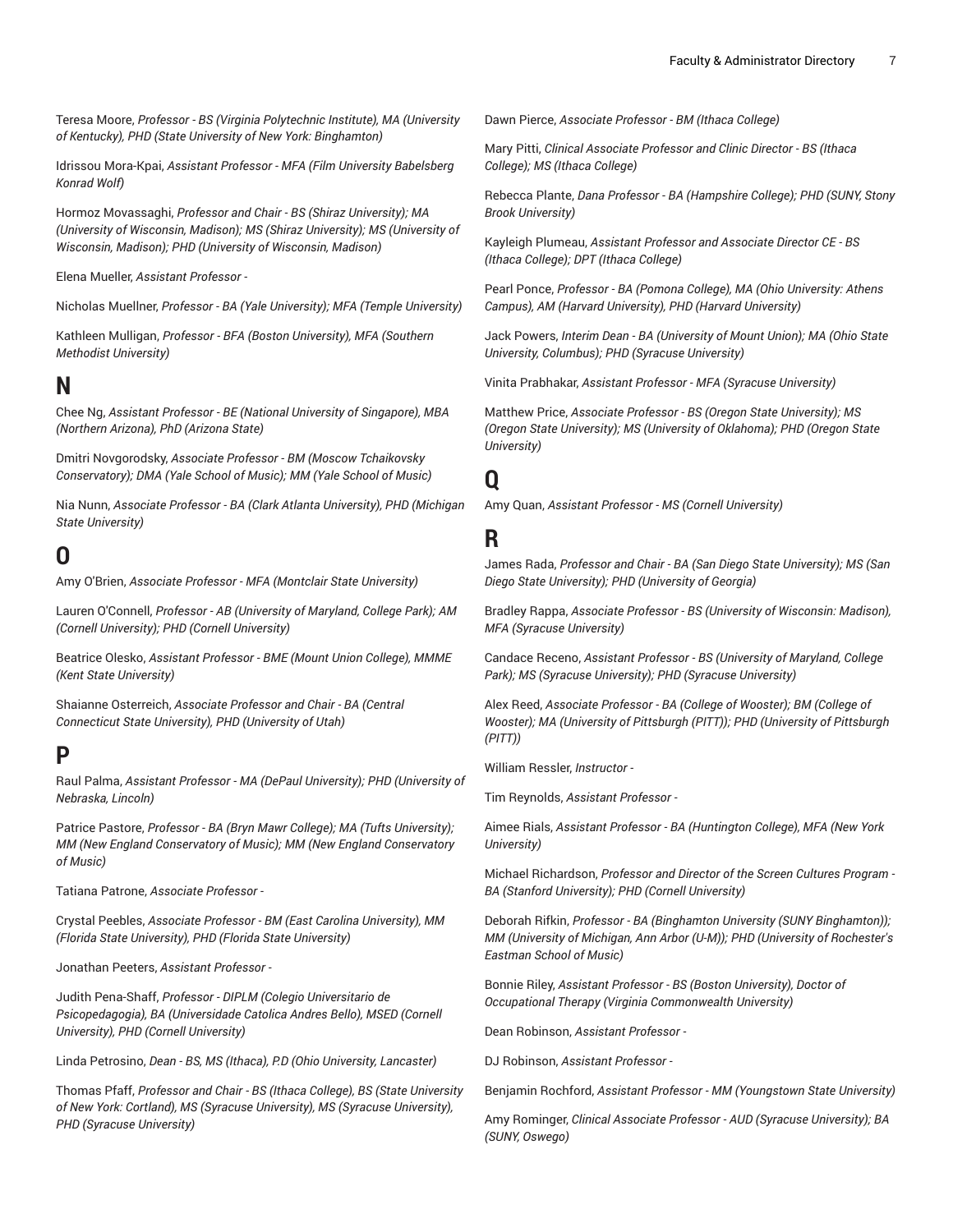Teresa Moore, *Professor - BS (Virginia Polytechnic Institute), MA (University of Kentucky), PHD (State University of New York: Binghamton)*

Idrissou Mora-Kpai, *Assistant Professor - MFA (Film University Babelsberg Konrad Wolf)*

Hormoz Movassaghi, *Professor and Chair - BS (Shiraz University); MA (University of Wisconsin, Madison); MS (Shiraz University); MS (University of Wisconsin, Madison); PHD (University of Wisconsin, Madison)*

Elena Mueller, *Assistant Professor -*

Nicholas Muellner, *Professor - BA (Yale University); MFA (Temple University)*

Kathleen Mulligan, *Professor - BFA (Boston University), MFA (Southern Methodist University)*

#### **N**

Chee Ng, *Assistant Professor - BE (National University of Singapore), MBA (Northern Arizona), PhD (Arizona State)*

Dmitri Novgorodsky, *Associate Professor - BM (Moscow Tchaikovsky Conservatory); DMA (Yale School of Music); MM (Yale School of Music)*

Nia Nunn, *Associate Professor - BA (Clark Atlanta University), PHD (Michigan State University)*

## **O**

Amy O'Brien, *Associate Professor - MFA (Montclair State University)*

Lauren O'Connell, *Professor - AB (University of Maryland, College Park); AM (Cornell University); PHD (Cornell University)*

Beatrice Olesko, *Assistant Professor - BME (Mount Union College), MMME (Kent State University)*

Shaianne Osterreich, *Associate Professor and Chair - BA (Central Connecticut State University), PHD (University of Utah)*

### **P**

Raul Palma, *Assistant Professor - MA (DePaul University); PHD (University of Nebraska, Lincoln)*

Patrice Pastore, *Professor - BA (Bryn Mawr College); MA (Tufts University); MM (New England Conservatory of Music); MM (New England Conservatory of Music)*

Tatiana Patrone, *Associate Professor -*

Crystal Peebles, *Associate Professor - BM (East Carolina University), MM (Florida State University), PHD (Florida State University)*

Jonathan Peeters, *Assistant Professor -*

Judith Pena-Shaff, *Professor - DIPLM (Colegio Universitario de Psicopedagogia), BA (Universidade Catolica Andres Bello), MSED (Cornell University), PHD (Cornell University)*

Linda Petrosino, *Dean - BS, MS (Ithaca), P.D (Ohio University, Lancaster)*

Thomas Pfaff, *Professor and Chair - BS (Ithaca College), BS (State University of New York: Cortland), MS (Syracuse University), MS (Syracuse University), PHD (Syracuse University)*

Dawn Pierce, *Associate Professor - BM (Ithaca College)*

Mary Pitti, *Clinical Associate Professor and Clinic Director - BS (Ithaca College); MS (Ithaca College)*

Rebecca Plante, *Dana Professor - BA (Hampshire College); PHD (SUNY, Stony Brook University)*

Kayleigh Plumeau, *Assistant Professor and Associate Director CE - BS (Ithaca College); DPT (Ithaca College)*

Pearl Ponce, *Professor - BA (Pomona College), MA (Ohio University: Athens Campus), AM (Harvard University), PHD (Harvard University)*

Jack Powers, *Interim Dean - BA (University of Mount Union); MA (Ohio State University, Columbus); PHD (Syracuse University)*

Vinita Prabhakar, *Assistant Professor - MFA (Syracuse University)*

Matthew Price, *Associate Professor - BS (Oregon State University); MS (Oregon State University); MS (University of Oklahoma); PHD (Oregon State University)*

## **Q**

Amy Quan, *Assistant Professor - MS (Cornell University)*

#### **R**

James Rada, *Professor and Chair - BA (San Diego State University); MS (San Diego State University); PHD (University of Georgia)*

Bradley Rappa, *Associate Professor - BS (University of Wisconsin: Madison), MFA (Syracuse University)*

Candace Receno, *Assistant Professor - BS (University of Maryland, College Park); MS (Syracuse University); PHD (Syracuse University)*

Alex Reed, *Associate Professor - BA (College of Wooster); BM (College of Wooster); MA (University of Pittsburgh (PITT)); PHD (University of Pittsburgh (PITT))*

William Ressler, *Instructor -*

Tim Reynolds, *Assistant Professor -*

Aimee Rials, *Assistant Professor - BA (Huntington College), MFA (New York University)*

Michael Richardson, *Professor and Director of the Screen Cultures Program - BA (Stanford University); PHD (Cornell University)*

Deborah Rifkin, *Professor - BA (Binghamton University (SUNY Binghamton)); MM (University of Michigan, Ann Arbor (U-M)); PHD (University of Rochester's Eastman School of Music)*

Bonnie Riley, *Assistant Professor - BS (Boston University), Doctor of Occupational Therapy (Virginia Commonwealth University)*

Dean Robinson, *Assistant Professor -*

DJ Robinson, *Assistant Professor -*

Benjamin Rochford, *Assistant Professor - MM (Youngstown State University)*

Amy Rominger, *Clinical Associate Professor - AUD (Syracuse University); BA (SUNY, Oswego)*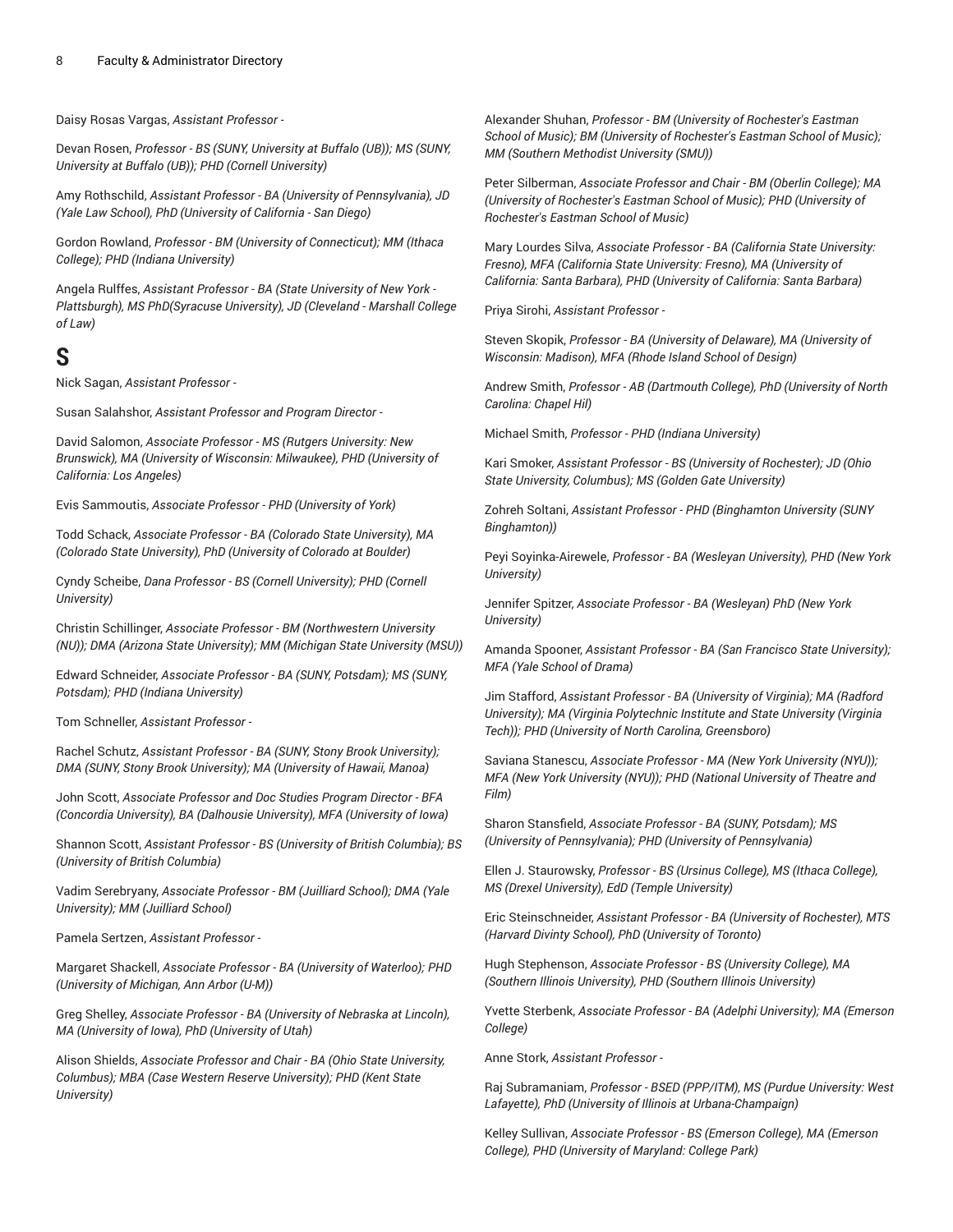Daisy Rosas Vargas, *Assistant Professor -*

Devan Rosen, *Professor - BS (SUNY, University at Buffalo (UB)); MS (SUNY, University at Buffalo (UB)); PHD (Cornell University)*

Amy Rothschild, *Assistant Professor - BA (University of Pennsylvania), JD (Yale Law School), PhD (University of California - San Diego)*

Gordon Rowland, *Professor - BM (University of Connecticut); MM (Ithaca College); PHD (Indiana University)*

Angela Rulffes, *Assistant Professor - BA (State University of New York - Plattsburgh), MS PhD(Syracuse University), JD (Cleveland - Marshall College of Law)*

### **S**

Nick Sagan, *Assistant Professor -*

Susan Salahshor, *Assistant Professor and Program Director -*

David Salomon, *Associate Professor - MS (Rutgers University: New Brunswick), MA (University of Wisconsin: Milwaukee), PHD (University of California: Los Angeles)*

Evis Sammoutis, *Associate Professor - PHD (University of York)*

Todd Schack, *Associate Professor - BA (Colorado State University), MA (Colorado State University), PhD (University of Colorado at Boulder)*

Cyndy Scheibe, *Dana Professor - BS (Cornell University); PHD (Cornell University)*

Christin Schillinger, *Associate Professor - BM (Northwestern University (NU)); DMA (Arizona State University); MM (Michigan State University (MSU))*

Edward Schneider, *Associate Professor - BA (SUNY, Potsdam); MS (SUNY, Potsdam); PHD (Indiana University)*

Tom Schneller, *Assistant Professor -*

Rachel Schutz, *Assistant Professor - BA (SUNY, Stony Brook University); DMA (SUNY, Stony Brook University); MA (University of Hawaii, Manoa)*

John Scott, *Associate Professor and Doc Studies Program Director - BFA (Concordia University), BA (Dalhousie University), MFA (University of Iowa)*

Shannon Scott, *Assistant Professor - BS (University of British Columbia); BS (University of British Columbia)*

Vadim Serebryany, *Associate Professor - BM (Juilliard School); DMA (Yale University); MM (Juilliard School)*

Pamela Sertzen, *Assistant Professor -*

Margaret Shackell, *Associate Professor - BA (University of Waterloo); PHD (University of Michigan, Ann Arbor (U-M))*

Greg Shelley, *Associate Professor - BA (University of Nebraska at Lincoln), MA (University of Iowa), PhD (University of Utah)*

Alison Shields, *Associate Professor and Chair - BA (Ohio State University, Columbus); MBA (Case Western Reserve University); PHD (Kent State University)*

Alexander Shuhan, *Professor - BM (University of Rochester's Eastman School of Music); BM (University of Rochester's Eastman School of Music); MM (Southern Methodist University (SMU))*

Peter Silberman, *Associate Professor and Chair - BM (Oberlin College); MA (University of Rochester's Eastman School of Music); PHD (University of Rochester's Eastman School of Music)*

Mary Lourdes Silva, *Associate Professor - BA (California State University: Fresno), MFA (California State University: Fresno), MA (University of California: Santa Barbara), PHD (University of California: Santa Barbara)*

Priya Sirohi, *Assistant Professor -*

Steven Skopik, *Professor - BA (University of Delaware), MA (University of Wisconsin: Madison), MFA (Rhode Island School of Design)*

Andrew Smith, *Professor - AB (Dartmouth College), PhD (University of North Carolina: Chapel Hil)*

Michael Smith, *Professor - PHD (Indiana University)*

Kari Smoker, *Assistant Professor - BS (University of Rochester); JD (Ohio State University, Columbus); MS (Golden Gate University)*

Zohreh Soltani, *Assistant Professor - PHD (Binghamton University (SUNY Binghamton))*

Peyi Soyinka-Airewele, *Professor - BA (Wesleyan University), PHD (New York University)*

Jennifer Spitzer, *Associate Professor - BA (Wesleyan) PhD (New York University)*

Amanda Spooner, *Assistant Professor - BA (San Francisco State University); MFA (Yale School of Drama)*

Jim Stafford, *Assistant Professor - BA (University of Virginia); MA (Radford University); MA (Virginia Polytechnic Institute and State University (Virginia Tech)); PHD (University of North Carolina, Greensboro)*

Saviana Stanescu, *Associate Professor - MA (New York University (NYU)); MFA (New York University (NYU)); PHD (National University of Theatre and Film)*

Sharon Stansfield, *Associate Professor - BA (SUNY, Potsdam); MS (University of Pennsylvania); PHD (University of Pennsylvania)*

Ellen J. Staurowsky, *Professor - BS (Ursinus College), MS (Ithaca College), MS (Drexel University), EdD (Temple University)*

Eric Steinschneider, *Assistant Professor - BA (University of Rochester), MTS (Harvard Divinty School), PhD (University of Toronto)*

Hugh Stephenson, *Associate Professor - BS (University College), MA (Southern Illinois University), PHD (Southern Illinois University)*

Yvette Sterbenk, *Associate Professor - BA (Adelphi University); MA (Emerson College)*

Anne Stork, *Assistant Professor -*

Raj Subramaniam, *Professor - BSED (PPP/ITM), MS (Purdue University: West Lafayette), PhD (University of Illinois at Urbana-Champaign)*

Kelley Sullivan, *Associate Professor - BS (Emerson College), MA (Emerson College), PHD (University of Maryland: College Park)*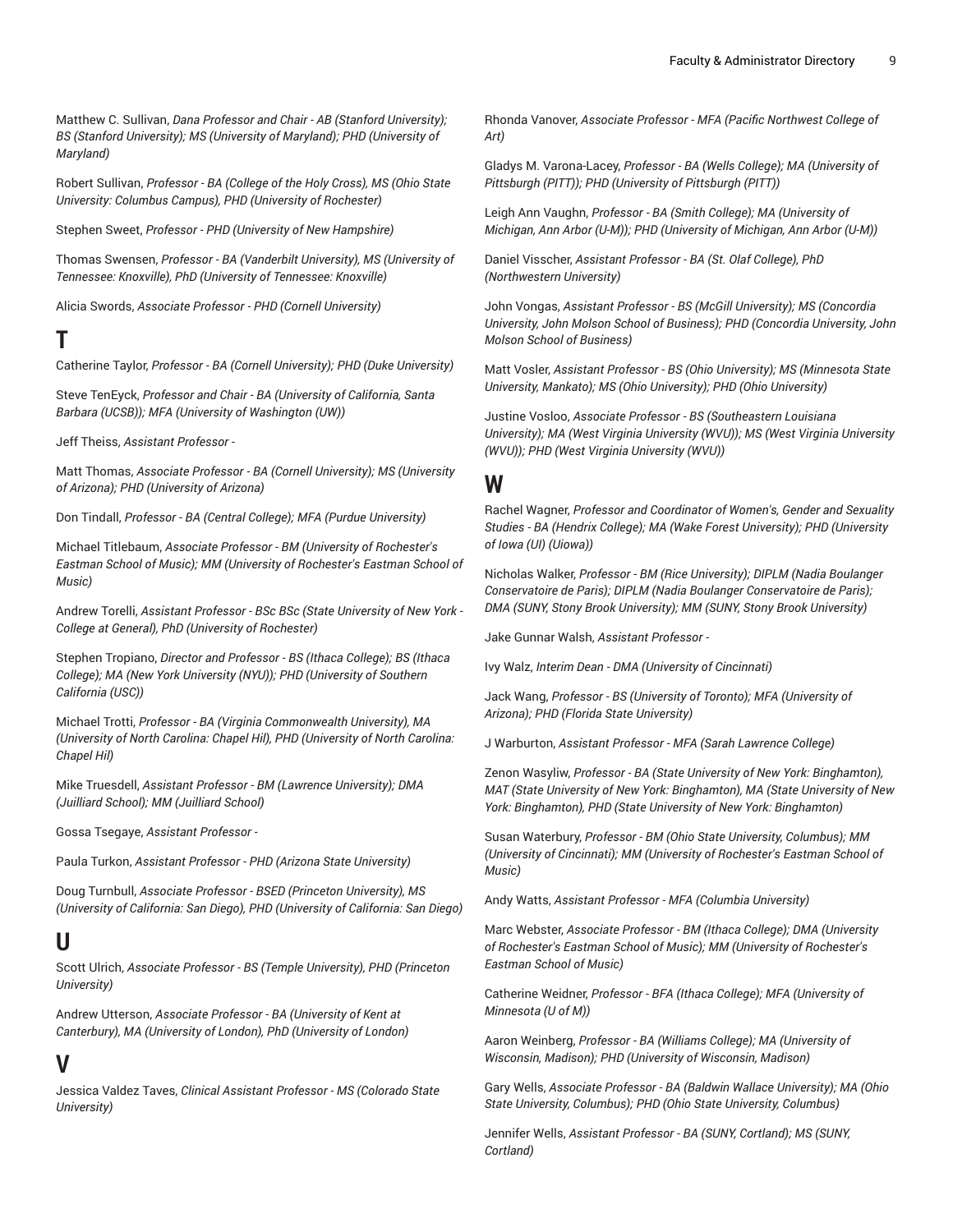Matthew C. Sullivan, *Dana Professor and Chair - AB (Stanford University); BS (Stanford University); MS (University of Maryland); PHD (University of Maryland)*

Robert Sullivan, *Professor - BA (College of the Holy Cross), MS (Ohio State University: Columbus Campus), PHD (University of Rochester)*

Stephen Sweet, *Professor - PHD (University of New Hampshire)*

Thomas Swensen, *Professor - BA (Vanderbilt University), MS (University of Tennessee: Knoxville), PhD (University of Tennessee: Knoxville)*

Alicia Swords, *Associate Professor - PHD (Cornell University)*

### **T**

Catherine Taylor, *Professor - BA (Cornell University); PHD (Duke University)*

Steve TenEyck, *Professor and Chair - BA (University of California, Santa Barbara (UCSB)); MFA (University of Washington (UW))*

Jeff Theiss, *Assistant Professor -*

Matt Thomas, *Associate Professor - BA (Cornell University); MS (University of Arizona); PHD (University of Arizona)*

Don Tindall, *Professor - BA (Central College); MFA (Purdue University)*

Michael Titlebaum, *Associate Professor - BM (University of Rochester's Eastman School of Music); MM (University of Rochester's Eastman School of Music)*

Andrew Torelli, *Assistant Professor - BSc BSc (State University of New York - College at General), PhD (University of Rochester)*

Stephen Tropiano, *Director and Professor - BS (Ithaca College); BS (Ithaca College); MA (New York University (NYU)); PHD (University of Southern California (USC))*

Michael Trotti, *Professor - BA (Virginia Commonwealth University), MA (University of North Carolina: Chapel Hil), PHD (University of North Carolina: Chapel Hil)*

Mike Truesdell, *Assistant Professor - BM (Lawrence University); DMA (Juilliard School); MM (Juilliard School)*

Gossa Tsegaye, *Assistant Professor -*

Paula Turkon, *Assistant Professor - PHD (Arizona State University)*

Doug Turnbull, *Associate Professor - BSED (Princeton University), MS (University of California: San Diego), PHD (University of California: San Diego)*

### **U**

Scott Ulrich, *Associate Professor - BS (Temple University), PHD (Princeton University)*

Andrew Utterson, *Associate Professor - BA (University of Kent at Canterbury), MA (University of London), PhD (University of London)*

### **V**

Jessica Valdez Taves, *Clinical Assistant Professor - MS (Colorado State University)*

Rhonda Vanover, *Associate Professor - MFA (Pacific Northwest College of Art)*

Gladys M. Varona-Lacey, *Professor - BA (Wells College); MA (University of Pittsburgh (PITT)); PHD (University of Pittsburgh (PITT))*

Leigh Ann Vaughn, *Professor - BA (Smith College); MA (University of Michigan, Ann Arbor (U-M)); PHD (University of Michigan, Ann Arbor (U-M))*

Daniel Visscher, *Assistant Professor - BA (St. Olaf College), PhD (Northwestern University)*

John Vongas, *Assistant Professor - BS (McGill University); MS (Concordia University, John Molson School of Business); PHD (Concordia University, John Molson School of Business)*

Matt Vosler, *Assistant Professor - BS (Ohio University); MS (Minnesota State University, Mankato); MS (Ohio University); PHD (Ohio University)*

Justine Vosloo, *Associate Professor - BS (Southeastern Louisiana University); MA (West Virginia University (WVU)); MS (West Virginia University (WVU)); PHD (West Virginia University (WVU))*

#### **W**

Rachel Wagner, *Professor and Coordinator of Women's, Gender and Sexuality Studies - BA (Hendrix College); MA (Wake Forest University); PHD (University of Iowa (UI) (Uiowa))*

Nicholas Walker, *Professor - BM (Rice University); DIPLM (Nadia Boulanger Conservatoire de Paris); DIPLM (Nadia Boulanger Conservatoire de Paris); DMA (SUNY, Stony Brook University); MM (SUNY, Stony Brook University)*

Jake Gunnar Walsh, *Assistant Professor -*

Ivy Walz, *Interim Dean - DMA (University of Cincinnati)*

Jack Wang, *Professor - BS (University of Toronto); MFA (University of Arizona); PHD (Florida State University)*

J Warburton, *Assistant Professor - MFA (Sarah Lawrence College)*

Zenon Wasyliw, *Professor - BA (State University of New York: Binghamton), MAT (State University of New York: Binghamton), MA (State University of New York: Binghamton), PHD (State University of New York: Binghamton)*

Susan Waterbury, *Professor - BM (Ohio State University, Columbus); MM (University of Cincinnati); MM (University of Rochester's Eastman School of Music)*

Andy Watts, *Assistant Professor - MFA (Columbia University)*

Marc Webster, *Associate Professor - BM (Ithaca College); DMA (University of Rochester's Eastman School of Music); MM (University of Rochester's Eastman School of Music)*

Catherine Weidner, *Professor - BFA (Ithaca College); MFA (University of Minnesota (U of M))*

Aaron Weinberg, *Professor - BA (Williams College); MA (University of Wisconsin, Madison); PHD (University of Wisconsin, Madison)*

Gary Wells, *Associate Professor - BA (Baldwin Wallace University); MA (Ohio State University, Columbus); PHD (Ohio State University, Columbus)*

Jennifer Wells, *Assistant Professor - BA (SUNY, Cortland); MS (SUNY, Cortland)*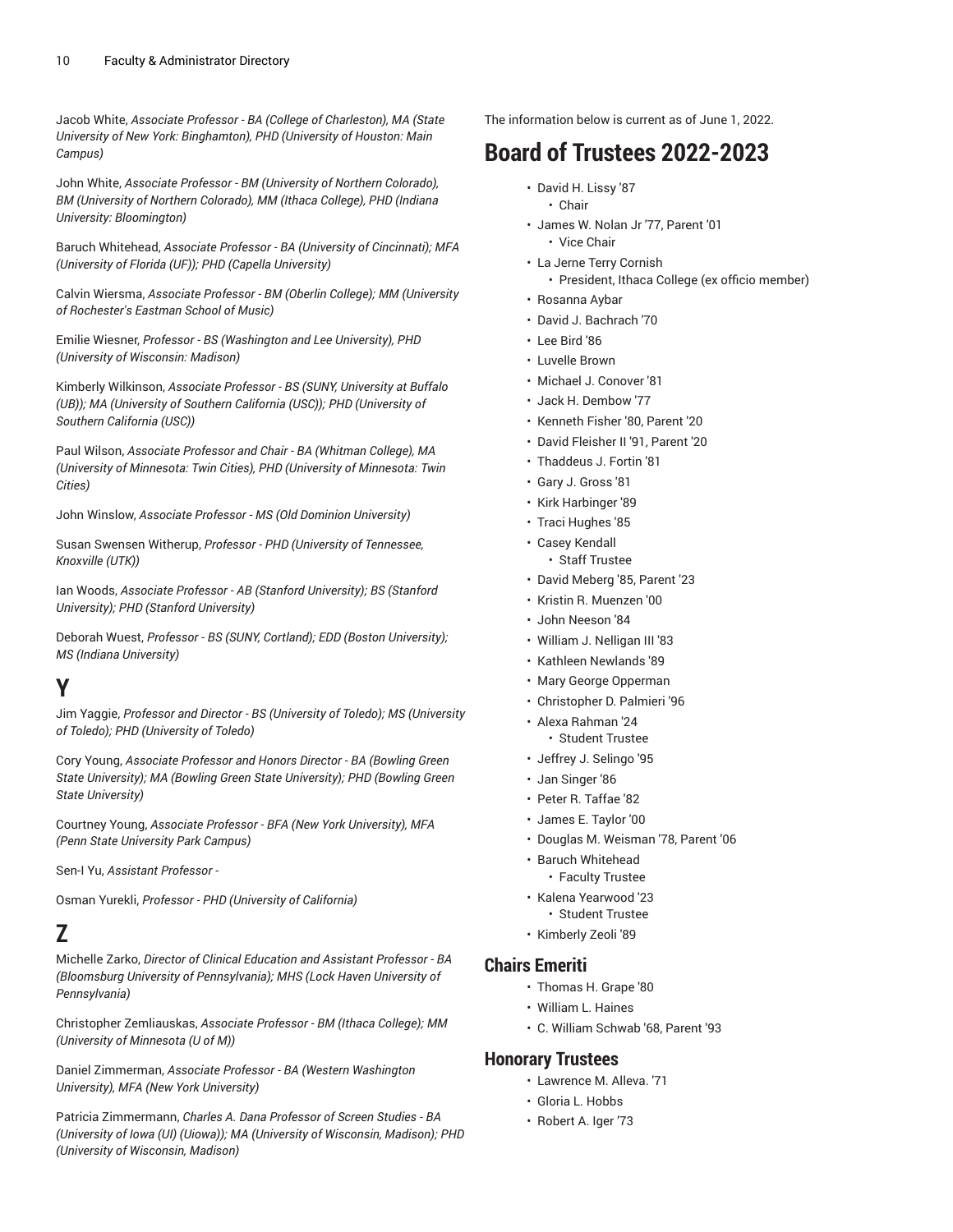Jacob White, *Associate Professor - BA (College of Charleston), MA (State University of New York: Binghamton), PHD (University of Houston: Main Campus)*

John White, *Associate Professor - BM (University of Northern Colorado), BM (University of Northern Colorado), MM (Ithaca College), PHD (Indiana University: Bloomington)*

Baruch Whitehead, *Associate Professor - BA (University of Cincinnati); MFA (University of Florida (UF)); PHD (Capella University)*

Calvin Wiersma, *Associate Professor - BM (Oberlin College); MM (University of Rochester's Eastman School of Music)*

Emilie Wiesner, *Professor - BS (Washington and Lee University), PHD (University of Wisconsin: Madison)*

Kimberly Wilkinson, *Associate Professor - BS (SUNY, University at Buffalo (UB)); MA (University of Southern California (USC)); PHD (University of Southern California (USC))*

Paul Wilson, *Associate Professor and Chair - BA (Whitman College), MA (University of Minnesota: Twin Cities), PHD (University of Minnesota: Twin Cities)*

John Winslow, *Associate Professor - MS (Old Dominion University)*

Susan Swensen Witherup, *Professor - PHD (University of Tennessee, Knoxville (UTK))*

Ian Woods, *Associate Professor - AB (Stanford University); BS (Stanford University); PHD (Stanford University)*

Deborah Wuest, *Professor - BS (SUNY, Cortland); EDD (Boston University); MS (Indiana University)*

**Y**

Jim Yaggie, *Professor and Director - BS (University of Toledo); MS (University of Toledo); PHD (University of Toledo)*

Cory Young, *Associate Professor and Honors Director - BA (Bowling Green State University); MA (Bowling Green State University); PHD (Bowling Green State University)*

Courtney Young, *Associate Professor - BFA (New York University), MFA (Penn State University Park Campus)*

Sen-I Yu, *Assistant Professor -*

Osman Yurekli, *Professor - PHD (University of California)*

### **Z**

Michelle Zarko, *Director of Clinical Education and Assistant Professor - BA (Bloomsburg University of Pennsylvania); MHS (Lock Haven University of Pennsylvania)*

Christopher Zemliauskas, *Associate Professor - BM (Ithaca College); MM (University of Minnesota (U of M))*

Daniel Zimmerman, *Associate Professor - BA (Western Washington University), MFA (New York University)*

Patricia Zimmermann, *Charles A. Dana Professor of Screen Studies - BA (University of Iowa (UI) (Uiowa)); MA (University of Wisconsin, Madison); PHD (University of Wisconsin, Madison)*

The information below is current as of June 1, 2022.

## **Board of Trustees 2022-2023**

- David H. Lissy '87
	- Chair
- James W. Nolan Jr '77, Parent '01 • Vice Chair
- La Jerne Terry Cornish
	- President, Ithaca College (ex officio member)
- Rosanna Aybar
- David J. Bachrach '70
- Lee Bird '86
- Luvelle Brown
- Michael J. Conover '81
- Jack H. Dembow '77
- Kenneth Fisher '80, Parent '20
- David Fleisher II '91, Parent '20
- Thaddeus J. Fortin '81
- Gary J. Gross '81
- Kirk Harbinger '89
- Traci Hughes '85
- Casey Kendall
	- Staff Trustee
- David Meberg '85, Parent '23
- Kristin R. Muenzen '00
- John Neeson '84
- William J. Nelligan III '83
- Kathleen Newlands '89
- Mary George Opperman
- Christopher D. Palmieri '96
- Alexa Rahman '24 • Student Trustee
- Jeffrey J. Selingo '95
- Jan Singer '86
- Peter R. Taffae '82
- James E. Taylor '00
- Douglas M. Weisman '78, Parent '06
- Baruch Whitehead
- Faculty Trustee
- Kalena Yearwood '23 • Student Trustee
- Kimberly Zeoli '89

#### **Chairs Emeriti**

- Thomas H. Grape '80
- William L. Haines
- C. William Schwab '68, Parent '93

#### **Honorary Trustees**

- Lawrence M. Alleva. '71
- Gloria L. Hobbs
- Robert A. Iger '73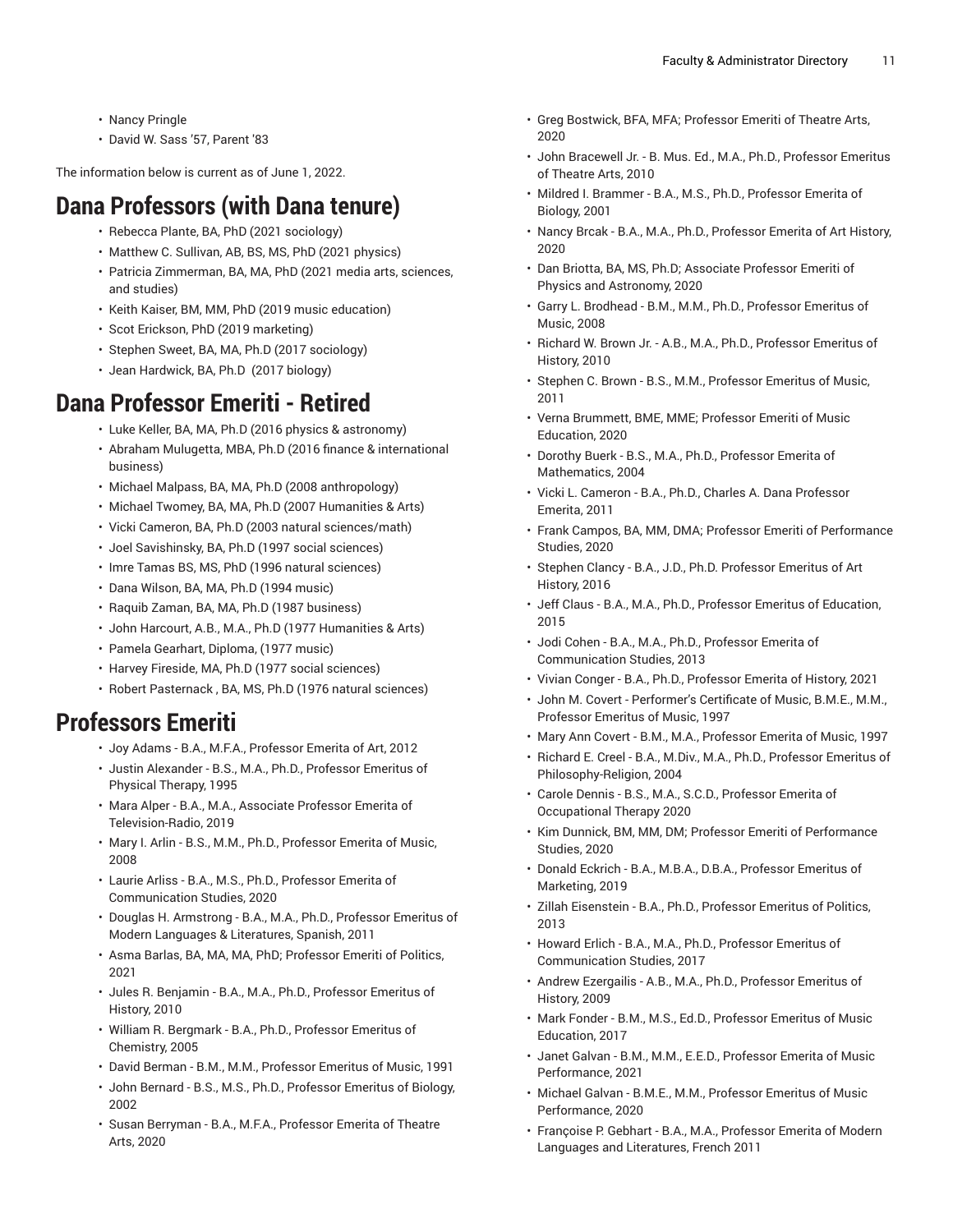- Nancy Pringle
- David W. Sass '57, Parent '83

The information below is current as of June 1, 2022.

# **Dana Professors (with Dana tenure)**

- Rebecca Plante, BA, PhD (2021 sociology)
- Matthew C. Sullivan, AB, BS, MS, PhD (2021 physics)
- Patricia Zimmerman, BA, MA, PhD (2021 media arts, sciences, and studies)
- Keith Kaiser, BM, MM, PhD (2019 music education)
- Scot Erickson, PhD (2019 marketing)
- Stephen Sweet, BA, MA, Ph.D (2017 sociology)
- Jean Hardwick, BA, Ph.D (2017 biology)

## **Dana Professor Emeriti - Retired**

- Luke Keller, BA, MA, Ph.D (2016 physics & astronomy)
- Abraham Mulugetta, MBA, Ph.D (2016 finance & international business)
- Michael Malpass, BA, MA, Ph.D (2008 anthropology)
- Michael Twomey, BA, MA, Ph.D (2007 Humanities & Arts)
- Vicki Cameron, BA, Ph.D (2003 natural sciences/math)
- Joel Savishinsky, BA, Ph.D (1997 social sciences)
- Imre Tamas BS, MS, PhD (1996 natural sciences)
- Dana Wilson, BA, MA, Ph.D (1994 music)
- Raquib Zaman, BA, MA, Ph.D (1987 business)
- John Harcourt, A.B., M.A., Ph.D (1977 Humanities & Arts)
- Pamela Gearhart, Diploma, (1977 music)
- Harvey Fireside, MA, Ph.D (1977 social sciences)
- Robert Pasternack , BA, MS, Ph.D (1976 natural sciences)

## **Professors Emeriti**

- Joy Adams B.A., M.F.A., Professor Emerita of Art, 2012
- Justin Alexander B.S., M.A., Ph.D., Professor Emeritus of Physical Therapy, 1995
- Mara Alper B.A., M.A., Associate Professor Emerita of Television-Radio, 2019
- Mary I. Arlin B.S., M.M., Ph.D., Professor Emerita of Music, 2008
- Laurie Arliss B.A., M.S., Ph.D., Professor Emerita of Communication Studies, 2020
- Douglas H. Armstrong B.A., M.A., Ph.D., Professor Emeritus of Modern Languages & Literatures, Spanish, 2011
- Asma Barlas, BA, MA, MA, PhD; Professor Emeriti of Politics, 2021
- Jules R. Benjamin B.A., M.A., Ph.D., Professor Emeritus of History, 2010
- William R. Bergmark B.A., Ph.D., Professor Emeritus of Chemistry, 2005
- David Berman B.M., M.M., Professor Emeritus of Music, 1991
- John Bernard B.S., M.S., Ph.D., Professor Emeritus of Biology, 2002
- Susan Berryman B.A., M.F.A., Professor Emerita of Theatre Arts, 2020
- Greg Bostwick, BFA, MFA; Professor Emeriti of Theatre Arts, 2020
- John Bracewell Jr. B. Mus. Ed., M.A., Ph.D., Professor Emeritus of Theatre Arts, 2010
- Mildred I. Brammer B.A., M.S., Ph.D., Professor Emerita of Biology, 2001
- Nancy Brcak B.A., M.A., Ph.D., Professor Emerita of Art History, 2020
- Dan Briotta, BA, MS, Ph.D; Associate Professor Emeriti of Physics and Astronomy, 2020
- Garry L. Brodhead B.M., M.M., Ph.D., Professor Emeritus of Music, 2008
- Richard W. Brown Jr. A.B., M.A., Ph.D., Professor Emeritus of History, 2010
- Stephen C. Brown B.S., M.M., Professor Emeritus of Music, 2011
- Verna Brummett, BME, MME; Professor Emeriti of Music Education, 2020
- Dorothy Buerk B.S., M.A., Ph.D., Professor Emerita of Mathematics, 2004
- Vicki L. Cameron B.A., Ph.D., Charles A. Dana Professor Emerita, 2011
- Frank Campos, BA, MM, DMA; Professor Emeriti of Performance Studies, 2020
- Stephen Clancy B.A., J.D., Ph.D. Professor Emeritus of Art History, 2016
- Jeff Claus B.A., M.A., Ph.D., Professor Emeritus of Education, 2015
- Jodi Cohen B.A., M.A., Ph.D., Professor Emerita of Communication Studies, 2013
- Vivian Conger B.A., Ph.D., Professor Emerita of History, 2021
- John M. Covert Performer's Certificate of Music, B.M.E., M.M., Professor Emeritus of Music, 1997
- Mary Ann Covert B.M., M.A., Professor Emerita of Music, 1997
- Richard E. Creel B.A., M.Div., M.A., Ph.D., Professor Emeritus of Philosophy-Religion, 2004
- Carole Dennis B.S., M.A., S.C.D., Professor Emerita of Occupational Therapy 2020
- Kim Dunnick, BM, MM, DM; Professor Emeriti of Performance Studies, 2020
- Donald Eckrich B.A., M.B.A., D.B.A., Professor Emeritus of Marketing, 2019
- Zillah Eisenstein B.A., Ph.D., Professor Emeritus of Politics, 2013
- Howard Erlich B.A., M.A., Ph.D., Professor Emeritus of Communication Studies, 2017
- Andrew Ezergailis A.B., M.A., Ph.D., Professor Emeritus of History, 2009
- Mark Fonder B.M., M.S., Ed.D., Professor Emeritus of Music Education, 2017
- Janet Galvan B.M., M.M., E.E.D., Professor Emerita of Music Performance, 2021
- Michael Galvan B.M.E., M.M., Professor Emeritus of Music Performance, 2020
- Françoise P. Gebhart B.A., M.A., Professor Emerita of Modern Languages and Literatures, French 2011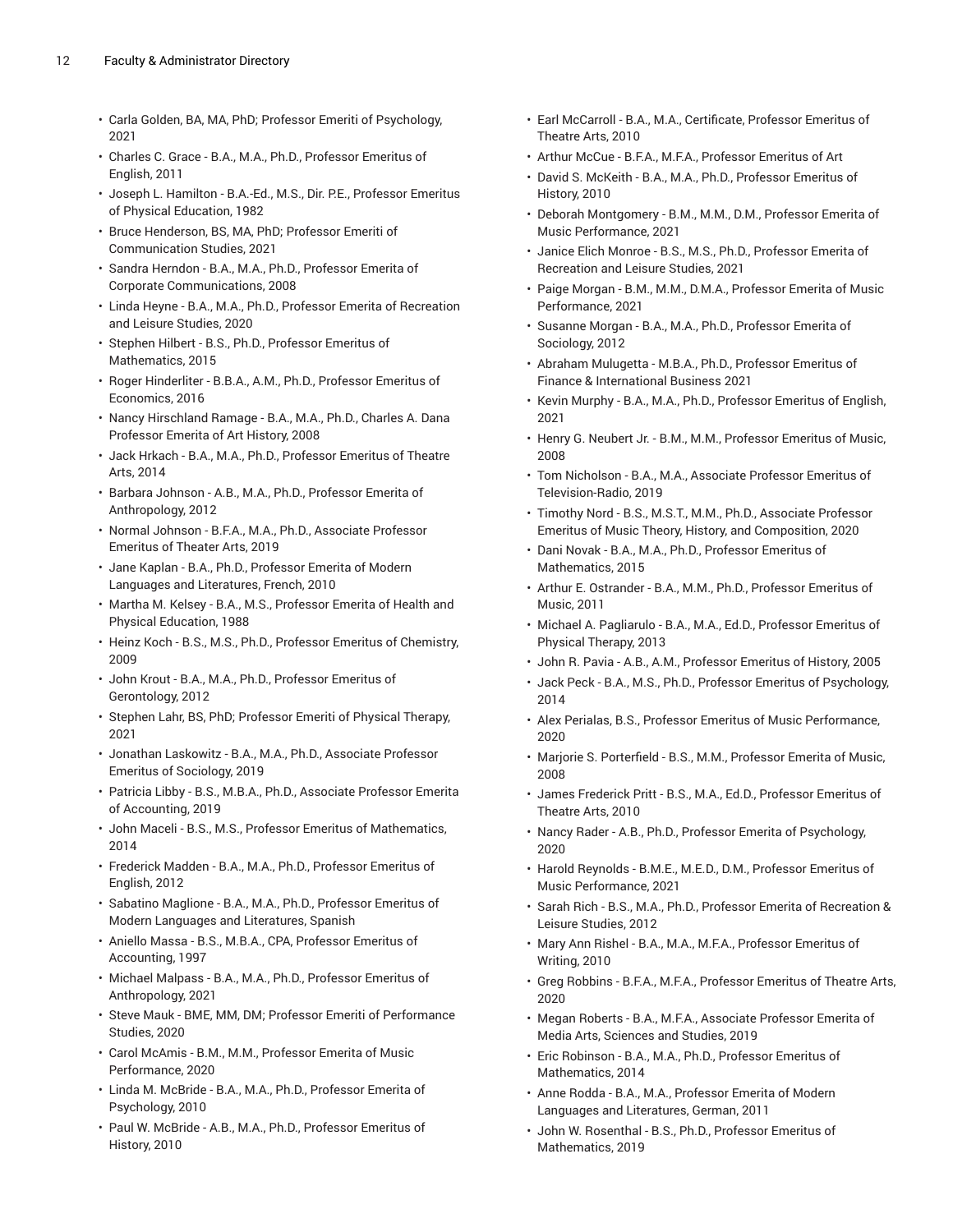- Carla Golden, BA, MA, PhD; Professor Emeriti of Psychology, 2021
- Charles C. Grace B.A., M.A., Ph.D., Professor Emeritus of English, 2011
- Joseph L. Hamilton B.A.-Ed., M.S., Dir. P.E., Professor Emeritus of Physical Education, 1982
- Bruce Henderson, BS, MA, PhD; Professor Emeriti of Communication Studies, 2021
- Sandra Herndon B.A., M.A., Ph.D., Professor Emerita of Corporate Communications, 2008
- Linda Heyne B.A., M.A., Ph.D., Professor Emerita of Recreation and Leisure Studies, 2020
- Stephen Hilbert B.S., Ph.D., Professor Emeritus of Mathematics, 2015
- Roger Hinderliter B.B.A., A.M., Ph.D., Professor Emeritus of Economics, 2016
- Nancy Hirschland Ramage B.A., M.A., Ph.D., Charles A. Dana Professor Emerita of Art History, 2008
- Jack Hrkach B.A., M.A., Ph.D., Professor Emeritus of Theatre Arts, 2014
- Barbara Johnson A.B., M.A., Ph.D., Professor Emerita of Anthropology, 2012
- Normal Johnson B.F.A., M.A., Ph.D., Associate Professor Emeritus of Theater Arts, 2019
- Jane Kaplan B.A., Ph.D., Professor Emerita of Modern Languages and Literatures, French, 2010
- Martha M. Kelsey B.A., M.S., Professor Emerita of Health and Physical Education, 1988
- Heinz Koch B.S., M.S., Ph.D., Professor Emeritus of Chemistry, 2009
- John Krout B.A., M.A., Ph.D., Professor Emeritus of Gerontology, 2012
- Stephen Lahr, BS, PhD; Professor Emeriti of Physical Therapy, 2021
- Jonathan Laskowitz B.A., M.A., Ph.D., Associate Professor Emeritus of Sociology, 2019
- Patricia Libby B.S., M.B.A., Ph.D., Associate Professor Emerita of Accounting, 2019
- John Maceli B.S., M.S., Professor Emeritus of Mathematics, 2014
- Frederick Madden B.A., M.A., Ph.D., Professor Emeritus of English, 2012
- Sabatino Maglione B.A., M.A., Ph.D., Professor Emeritus of Modern Languages and Literatures, Spanish
- Aniello Massa B.S., M.B.A., CPA, Professor Emeritus of Accounting, 1997
- Michael Malpass B.A., M.A., Ph.D., Professor Emeritus of Anthropology, 2021
- Steve Mauk BME, MM, DM; Professor Emeriti of Performance Studies, 2020
- Carol McAmis B.M., M.M., Professor Emerita of Music Performance, 2020
- Linda M. McBride B.A., M.A., Ph.D., Professor Emerita of Psychology, 2010
- Paul W. McBride A.B., M.A., Ph.D., Professor Emeritus of History, 2010
- Earl McCarroll B.A., M.A., Certificate, Professor Emeritus of Theatre Arts, 2010
- Arthur McCue B.F.A., M.F.A., Professor Emeritus of Art
- David S. McKeith B.A., M.A., Ph.D., Professor Emeritus of History, 2010
- Deborah Montgomery B.M., M.M., D.M., Professor Emerita of Music Performance, 2021
- Janice Elich Monroe B.S., M.S., Ph.D., Professor Emerita of Recreation and Leisure Studies, 2021
- Paige Morgan B.M., M.M., D.M.A., Professor Emerita of Music Performance, 2021
- Susanne Morgan B.A., M.A., Ph.D., Professor Emerita of Sociology, 2012
- Abraham Mulugetta M.B.A., Ph.D., Professor Emeritus of Finance & International Business 2021
- Kevin Murphy B.A., M.A., Ph.D., Professor Emeritus of English, 2021
- Henry G. Neubert Jr. B.M., M.M., Professor Emeritus of Music, 2008
- Tom Nicholson B.A., M.A., Associate Professor Emeritus of Television-Radio, 2019
- Timothy Nord B.S., M.S.T., M.M., Ph.D., Associate Professor Emeritus of Music Theory, History, and Composition, 2020
- Dani Novak B.A., M.A., Ph.D., Professor Emeritus of Mathematics, 2015
- Arthur E. Ostrander B.A., M.M., Ph.D., Professor Emeritus of Music, 2011
- Michael A. Pagliarulo B.A., M.A., Ed.D., Professor Emeritus of Physical Therapy, 2013
- John R. Pavia A.B., A.M., Professor Emeritus of History, 2005
- Jack Peck B.A., M.S., Ph.D., Professor Emeritus of Psychology, 2014
- Alex Perialas, B.S., Professor Emeritus of Music Performance, 2020
- Marjorie S. Porterfield B.S., M.M., Professor Emerita of Music, 2008
- James Frederick Pritt B.S., M.A., Ed.D., Professor Emeritus of Theatre Arts, 2010
- Nancy Rader A.B., Ph.D., Professor Emerita of Psychology, 2020
- Harold Reynolds B.M.E., M.E.D., D.M., Professor Emeritus of Music Performance, 2021
- Sarah Rich B.S., M.A., Ph.D., Professor Emerita of Recreation & Leisure Studies, 2012
- Mary Ann Rishel B.A., M.A., M.F.A., Professor Emeritus of Writing, 2010
- Greg Robbins B.F.A., M.F.A., Professor Emeritus of Theatre Arts, 2020
- Megan Roberts B.A., M.F.A., Associate Professor Emerita of Media Arts, Sciences and Studies, 2019
- Eric Robinson B.A., M.A., Ph.D., Professor Emeritus of Mathematics, 2014
- Anne Rodda B.A., M.A., Professor Emerita of Modern Languages and Literatures, German, 2011
- John W. Rosenthal B.S., Ph.D., Professor Emeritus of Mathematics, 2019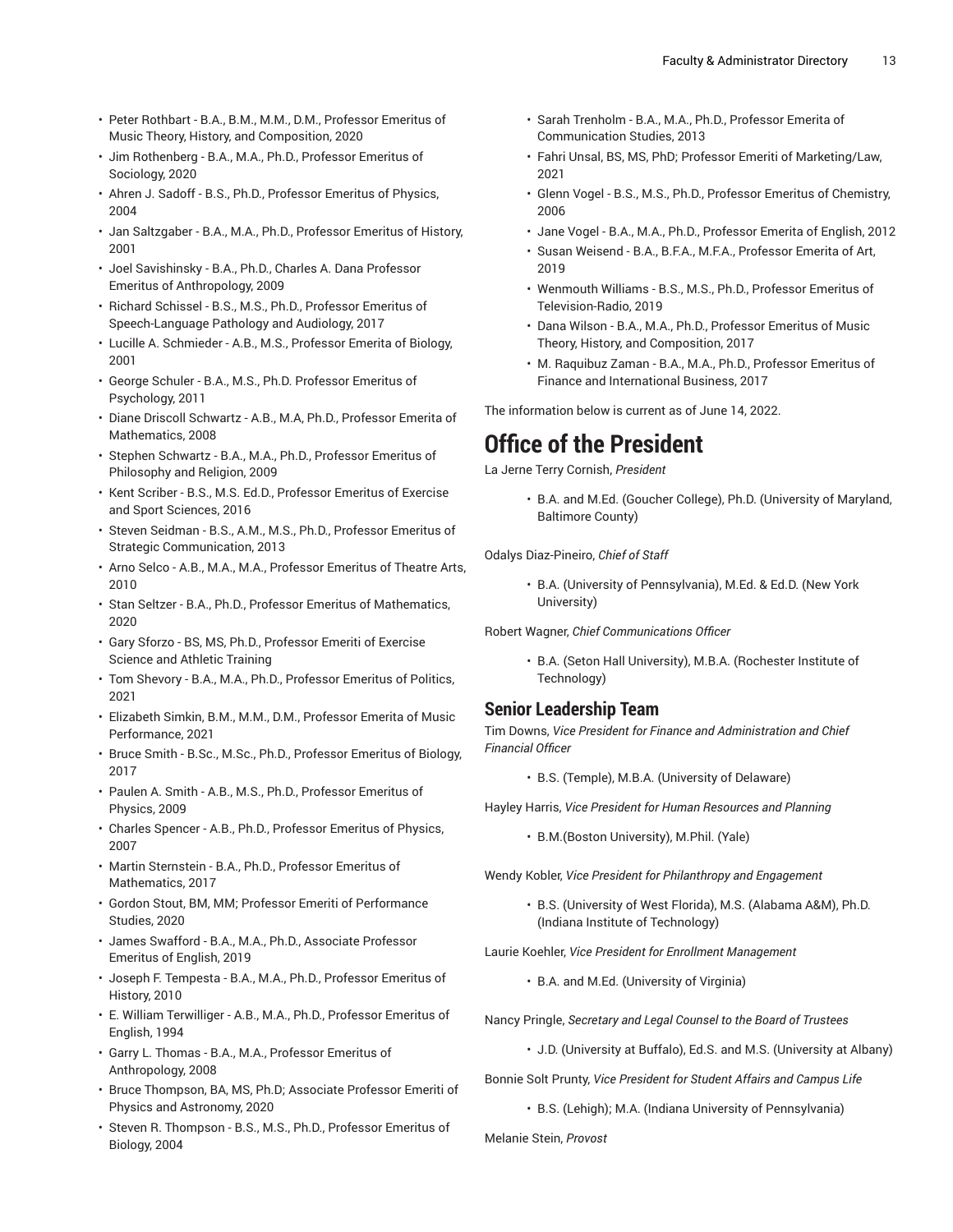- Peter Rothbart B.A., B.M., M.M., D.M., Professor Emeritus of Music Theory, History, and Composition, 2020
- Jim Rothenberg B.A., M.A., Ph.D., Professor Emeritus of Sociology, 2020
- Ahren J. Sadoff B.S., Ph.D., Professor Emeritus of Physics, 2004
- Jan Saltzgaber B.A., M.A., Ph.D., Professor Emeritus of History, 2001
- Joel Savishinsky B.A., Ph.D., Charles A. Dana Professor Emeritus of Anthropology, 2009
- Richard Schissel B.S., M.S., Ph.D., Professor Emeritus of Speech-Language Pathology and Audiology, 2017
- Lucille A. Schmieder A.B., M.S., Professor Emerita of Biology, 2001
- George Schuler B.A., M.S., Ph.D. Professor Emeritus of Psychology, 2011
- Diane Driscoll Schwartz A.B., M.A, Ph.D., Professor Emerita of Mathematics, 2008
- Stephen Schwartz B.A., M.A., Ph.D., Professor Emeritus of Philosophy and Religion, 2009
- Kent Scriber B.S., M.S. Ed.D., Professor Emeritus of Exercise and Sport Sciences, 2016
- Steven Seidman B.S., A.M., M.S., Ph.D., Professor Emeritus of Strategic Communication, 2013
- Arno Selco A.B., M.A., M.A., Professor Emeritus of Theatre Arts, 2010
- Stan Seltzer B.A., Ph.D., Professor Emeritus of Mathematics, 2020
- Gary Sforzo BS, MS, Ph.D., Professor Emeriti of Exercise Science and Athletic Training
- Tom Shevory B.A., M.A., Ph.D., Professor Emeritus of Politics, 2021
- Elizabeth Simkin, B.M., M.M., D.M., Professor Emerita of Music Performance, 2021
- Bruce Smith B.Sc., M.Sc., Ph.D., Professor Emeritus of Biology, 2017
- Paulen A. Smith A.B., M.S., Ph.D., Professor Emeritus of Physics, 2009
- Charles Spencer A.B., Ph.D., Professor Emeritus of Physics, 2007
- Martin Sternstein B.A., Ph.D., Professor Emeritus of Mathematics, 2017
- Gordon Stout, BM, MM; Professor Emeriti of Performance Studies, 2020
- James Swafford B.A., M.A., Ph.D., Associate Professor Emeritus of English, 2019
- Joseph F. Tempesta B.A., M.A., Ph.D., Professor Emeritus of History, 2010
- E. William Terwilliger A.B., M.A., Ph.D., Professor Emeritus of English, 1994
- Garry L. Thomas B.A., M.A., Professor Emeritus of Anthropology, 2008
- Bruce Thompson, BA, MS, Ph.D; Associate Professor Emeriti of Physics and Astronomy, 2020
- Steven R. Thompson B.S., M.S., Ph.D., Professor Emeritus of Biology, 2004
- Sarah Trenholm B.A., M.A., Ph.D., Professor Emerita of Communication Studies, 2013
- Fahri Unsal, BS, MS, PhD; Professor Emeriti of Marketing/Law, 2021
- Glenn Vogel B.S., M.S., Ph.D., Professor Emeritus of Chemistry, 2006
- Jane Vogel B.A., M.A., Ph.D., Professor Emerita of English, 2012
- Susan Weisend B.A., B.F.A., M.F.A., Professor Emerita of Art, 2019
- Wenmouth Williams B.S., M.S., Ph.D., Professor Emeritus of Television-Radio, 2019
- Dana Wilson B.A., M.A., Ph.D., Professor Emeritus of Music Theory, History, and Composition, 2017
- M. Raquibuz Zaman B.A., M.A., Ph.D., Professor Emeritus of Finance and International Business, 2017

The information below is current as of June 14, 2022.

## **Office of the President**

La Jerne Terry Cornish, *President*

• B.A. and M.Ed. (Goucher College), Ph.D. (University of Maryland, Baltimore County)

Odalys Diaz-Pineiro, *Chief of Staff*

• B.A. (University of Pennsylvania), M.Ed. & Ed.D. (New York University)

Robert Wagner, *Chief Communications Officer*

• B.A. (Seton Hall University), M.B.A. (Rochester Institute of Technology)

#### **Senior Leadership Team**

Tim Downs, *Vice President for Finance and Administration and Chief Financial Officer*

• B.S. (Temple), M.B.A. (University of Delaware)

Hayley Harris, *Vice President for Human Resources and Planning*

• B.M.(Boston University), M.Phil. (Yale)

Wendy Kobler, *Vice President for Philanthropy and Engagement*

• B.S. (University of West Florida), M.S. (Alabama A&M), Ph.D. (Indiana Institute of Technology)

Laurie Koehler, *Vice President for Enrollment Management*

• B.A. and M.Ed. (University of Virginia)

Nancy Pringle, *Secretary and Legal Counsel to the Board of Trustees*

• J.D. (University at Buffalo), Ed.S. and M.S. (University at Albany)

Bonnie Solt Prunty, *Vice President for Student Affairs and Campus Life*

• B.S. (Lehigh); M.A. (Indiana University of Pennsylvania)

Melanie Stein, *Provost*